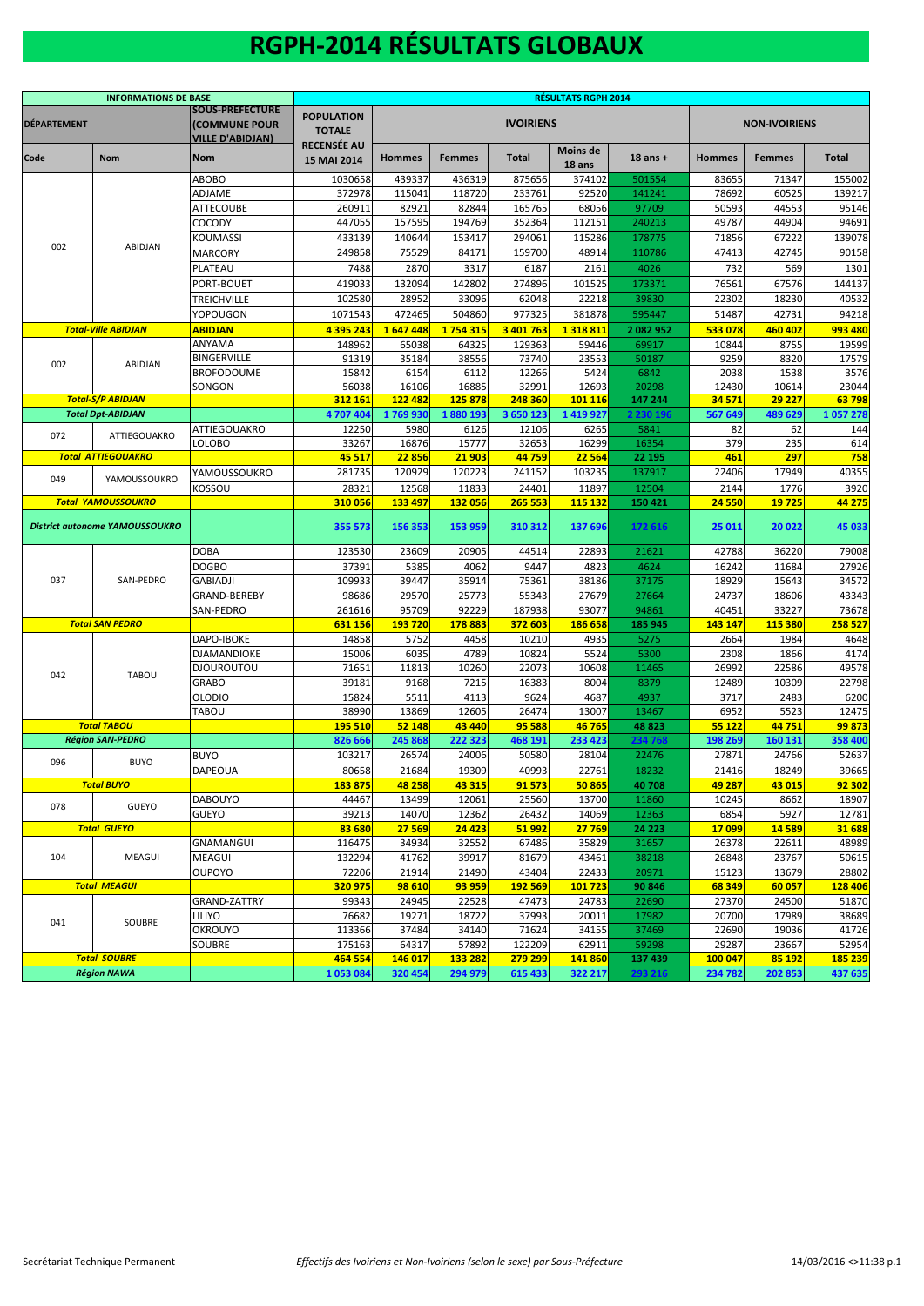## **RGPH-2014 RÉSULTATS GLOBAUX**

|                    | <b>INFORMATIONS DE BASE</b>           |                                                                    | <b>RÉSULTATS RGPH 2014</b>         |               |               |                  |                           |              |               |                      |                |  |  |
|--------------------|---------------------------------------|--------------------------------------------------------------------|------------------------------------|---------------|---------------|------------------|---------------------------|--------------|---------------|----------------------|----------------|--|--|
| <b>DÉPARTEMENT</b> |                                       | <b>SOUS-PREFECTURE</b><br>(COMMUNE POUR<br><b>VILLE D'ABIDJAN)</b> | <b>POPULATION</b><br><b>TOTALE</b> |               |               | <b>IVOIRIENS</b> |                           |              |               | <b>NON-IVOIRIENS</b> |                |  |  |
| Code               | <b>Nom</b>                            | <b>Nom</b>                                                         | <b>RECENSÉE AU</b><br>15 MAI 2014  | <b>Hommes</b> | <b>Femmes</b> | <b>Total</b>     | <b>Moins de</b><br>18 ans | $18$ ans $+$ | <b>Hommes</b> | <b>Femmes</b>        | Total          |  |  |
|                    |                                       | ABOBO                                                              | 1030658                            | 439337        | 436319        | 875656           | 374102                    | 501554       | 83655         | 71347                | 155002         |  |  |
|                    |                                       | ADJAME                                                             | 372978                             | 115041        | 118720        | 233761           | 92520                     | 141241       | 78692         | 60525                | 139217         |  |  |
|                    |                                       | <b>ATTECOUBE</b>                                                   | 260911                             | 82921         | 82844         | 165765           | 68056                     | 97709        | 50593         | 44553                | 95146          |  |  |
|                    |                                       | COCODY                                                             | 447055                             | 157595        | 194769        | 352364           | 112151                    | 240213       | 49787         | 44904                | 94691          |  |  |
|                    |                                       | KOUMASSI                                                           | 433139                             | 140644        | 153417        | 294061           | 115286                    | 178775       | 71856         | 67222                | 139078         |  |  |
| 002                | <b>ABIDJAN</b>                        | <b>MARCORY</b>                                                     | 249858                             | 75529         | 84171         | 159700           | 48914                     | 110786       | 47413         | 42745                | 90158          |  |  |
|                    |                                       | PLATEAU                                                            | 7488                               | 2870          | 3317          | 6187             | 2161                      | 4026         | 732           | 569                  | 1301           |  |  |
|                    |                                       | PORT-BOUET                                                         | 419033                             | 132094        | 142802        | 274896           | 101525                    | 173371       | 76561         | 67576                | 144137         |  |  |
|                    |                                       |                                                                    | 102580                             | 28952         | 33096         | 62048            | 22218                     | 39830        | 22302         | 18230                | 40532          |  |  |
|                    |                                       | TREICHVILLE                                                        |                                    |               |               |                  |                           |              |               |                      |                |  |  |
|                    |                                       | YOPOUGON                                                           | 1071543                            | 472465        | 504860        | 977325           | 381878                    | 595447       | 51487         | 42731                | 94218          |  |  |
|                    | <b>Total-Ville ABIDJAN</b>            | <b>ABIDJAN</b>                                                     | 4 395 243                          | 1647448       | 1754315       | 3 401 763        | 1318811                   | 2 082 952    | 533 078       | 460 402              | 993 480        |  |  |
|                    |                                       | ANYAMA                                                             | 148962                             | 65038         | 64325         | 129363           | 59446                     | 69917        | 10844         | 8755                 | 19599          |  |  |
| 002                | ABIDJAN                               | <b>BINGERVILLE</b>                                                 | 91319                              | 35184         | 38556         | 73740            | 23553                     | 50187        | 9259          | 8320                 | 17579          |  |  |
|                    |                                       | <b>BROFODOUME</b>                                                  | 15842                              | 6154          | 6112          | 12266            | 5424                      | 6842         | 2038          | 1538                 | 3576           |  |  |
|                    |                                       | SONGON                                                             | 56038                              | 16106         | 16885         | 32991            | 12693                     | 20298        | 12430         | 10614                | 23044          |  |  |
|                    | <b>Total-S/P ABIDJAN</b>              |                                                                    | 312 161                            | 122 482       | 125878        | 248 360          | 101 116                   | 147 244      | 34 5 7 1      | 29 227               | 63798          |  |  |
|                    | <b>Total Dpt-ABIDJAN</b>              |                                                                    | 4 707 404                          | 1769930       | 1880193       | 3 650 123        | 1419927                   | 2 230 196    | 567 649       | 489 629              | 1057278        |  |  |
| 072                | ATTIEGOUAKRO                          | <b>ATTIEGOUAKRO</b>                                                | 12250                              | 5980          | 6126          | 12106            | 6265                      | 5841         | 82            | 62                   | 144            |  |  |
|                    |                                       | LOLOBO                                                             | 33267                              | 16876         | 15777         | 32653            | 16299                     | 16354        | 379           | 235                  | 614            |  |  |
|                    | <b>Total ATTIEGOUAKRO</b>             |                                                                    | 45 517                             | 22856         | 21 903        | 44759            | 22 5 64                   | 22 195       | 461           | 297                  | 758            |  |  |
|                    |                                       | YAMOUSSOUKRO                                                       | 281735                             | 120929        | 120223        | 241152           | 103235                    | 137917       | 22406         | 17949                | 40355          |  |  |
| 049                | YAMOUSSOUKRO                          | KOSSOU                                                             | 28321                              | 12568         | 11833         | 24401            | 11897                     | 12504        | 2144          | 1776                 | 3920           |  |  |
|                    | <b>Total YAMOUSSOUKRO</b>             |                                                                    | 310056                             | 133 497       | 132 056       | 265 553          | 115 132                   | 150 421      | 24 5 50       | 19725                | 44 275         |  |  |
|                    | <b>District autonome YAMOUSSOUKRO</b> |                                                                    | 355 573                            | 156 353       | 153 959       | 310 312          | 137 696                   | 172 616      | 25 011        | 20 022               | 45 033         |  |  |
|                    |                                       | <b>DOBA</b>                                                        | 123530                             | 23609         | 20905         | 44514            | 22893                     | 21621        | 42788         | 36220                | 79008          |  |  |
|                    |                                       | <b>DOGBO</b>                                                       | 37391                              | 5385          | 4062          | 9447             | 4823                      | 4624         | 16242         | 11684                | 27926          |  |  |
| 037                | SAN-PEDRO                             | <b>GABIADJI</b>                                                    | 109933                             | 39447         | 35914         | 75361            | 38186                     | 37175        | 18929         | 15643                | 34572          |  |  |
|                    |                                       | GRAND-BEREBY                                                       | 98686                              | 29570         | 25773         | 55343            | 27679                     | 27664        | 24737         | 18606                | 43343          |  |  |
|                    |                                       | SAN-PEDRO                                                          | 261616                             | 95709         | 92229         | 187938           | 93077                     | 94861        | 40451         | 33227                | 73678          |  |  |
|                    | <b>Total SAN PEDRO</b>                |                                                                    | 631 156                            | 193 720       | 178883        | 372 603          | 186 658                   | 185 945      | 143 147       | 115 380              | 258 527        |  |  |
|                    |                                       | <b>DAPO-IBOKE</b>                                                  | 14858                              | 5752          | 4458          | 10210            | 4935                      | 5275         | 2664          | 1984                 | 4648           |  |  |
|                    |                                       | <b>DJAMANDIOKE</b>                                                 | 15006                              | 6035          | 4789          | 10824            | 5524                      | 5300         | 2308          | 1866                 | 4174           |  |  |
|                    |                                       |                                                                    |                                    |               |               |                  |                           |              |               |                      |                |  |  |
| 042                | <b>TABOU</b>                          | <b>DJOUROUTOU</b>                                                  | 71651                              | 11813         | 10260         | 22073            | 10608                     | 11465        | 26992         | 22586                | 49578          |  |  |
|                    |                                       | <b>GRABO</b>                                                       | 39181                              | 9168          | 7215          | 16383            | 8004                      | 8379         | 12489         | 10309                | 22798          |  |  |
|                    |                                       | <b>OLODIO</b>                                                      | 15824                              | 5511          | 4113          | 9624             | 4687                      | 4937         | 3717          | 2483                 | 6200           |  |  |
|                    |                                       | TABOU                                                              | 38990                              | 13869         | 12605         | 26474            | 13007                     | 13467        | 6952          | 5523                 | 12475          |  |  |
|                    | <b>Total TABOU</b>                    |                                                                    | <b>195 510</b>                     | 52 148        | 43 440        | 95 588           | 46765                     | 48 823       | 55 1 22       | 44751                | 99 873         |  |  |
|                    | <b>Région SAN-PEDRO</b>               |                                                                    | 826 66                             | 245 868       | 222 323       | 468 191          | 233 423                   | 234768       | 198 269       | 160 131              | 358 400        |  |  |
| 096                | <b>BUYO</b>                           | <b>BUYO</b>                                                        | 103217                             | 26574         | 24006         | 50580            | 28104                     | 22476        | 27871         | 24766                | 52637          |  |  |
|                    |                                       | <b>DAPEOUA</b>                                                     | 80658                              | 21684         | 19309         | 40993            | 22761                     | 18232        | 21416         | 18249                | 39665          |  |  |
|                    | <b>Total BUYO</b>                     |                                                                    | 183 875                            | 48 258        | 43 315        | 91573            | 50865                     | 40 708       | 49 287        | 43 015               | 92 302         |  |  |
| 078                | GUEYO                                 | <b>DABOUYO</b>                                                     | 44467                              | 13499         | 12061         | 25560            | 13700                     | 11860        | 10245         | 8662                 | 18907          |  |  |
|                    |                                       | <b>GUEYO</b>                                                       | 39213                              | 14070         | 12362         | 26432            | 14069                     | 12363        | 6854          | 5927                 | 12781          |  |  |
|                    | <b>Total GUEYO</b>                    |                                                                    | 83 680                             | 27 569        | 24 4 23       | 51 992           | 27 769                    | 24 223       | 17099         | 14589                | 31 688         |  |  |
|                    |                                       | GNAMANGUI                                                          | 116475                             | 34934         | 32552         | 67486            | 35829                     | 31657        | 26378         | 22611                | 48989          |  |  |
| 104                | MEAGUI                                | <b>MEAGUI</b>                                                      | 132294                             | 41762         | 39917         | 81679            | 43461                     | 38218        | 26848         | 23767                | 50615          |  |  |
|                    |                                       | <b>OUPOYO</b>                                                      | 72206                              | 21914         | 21490         | 43404            | 22433                     | 20971        | 15123         | 13679                | 28802          |  |  |
|                    | <b>Total MEAGUI</b>                   |                                                                    | 320 975                            | 98 610        | 93 959        | <b>192 569</b>   | 101 723                   | 90 846       | 68 349        | 60 057               | <b>128 406</b> |  |  |
|                    |                                       | <b>GRAND-ZATTRY</b>                                                | 99343                              | 24945         | 22528         | 47473            | 24783                     | 22690        | 27370         | 24500                | 51870          |  |  |
|                    |                                       | LILIYO                                                             | 76682                              | 19271         | 18722         | 37993            | 20011                     | 17982        | 20700         | 17989                | 38689          |  |  |
| 041                | SOUBRE                                |                                                                    |                                    |               |               |                  |                           |              |               |                      |                |  |  |
|                    |                                       | <b>OKROUYO</b>                                                     | 113366                             | 37484         | 34140         | 71624            | 34155                     | 37469        | 22690         | 19036                | 41726          |  |  |
|                    |                                       | SOUBRE                                                             | 175163                             | 64317         | 57892         | 122209           | 62911                     | 59298        | 29287         | 23667                | 52954          |  |  |
|                    | <b>Total SOUBRE</b>                   |                                                                    | 464 554                            | 146 017       | 133 282       | 279 299          | 141860                    | 137 439      | 100 047       | 85 192               | 185 239        |  |  |
|                    | <b>Région NAWA</b>                    |                                                                    | 1053084                            | 320 454       | 294 979       | 615 433          | 322 217                   | 293 216      | 234 782       | 202 853              | 437 635        |  |  |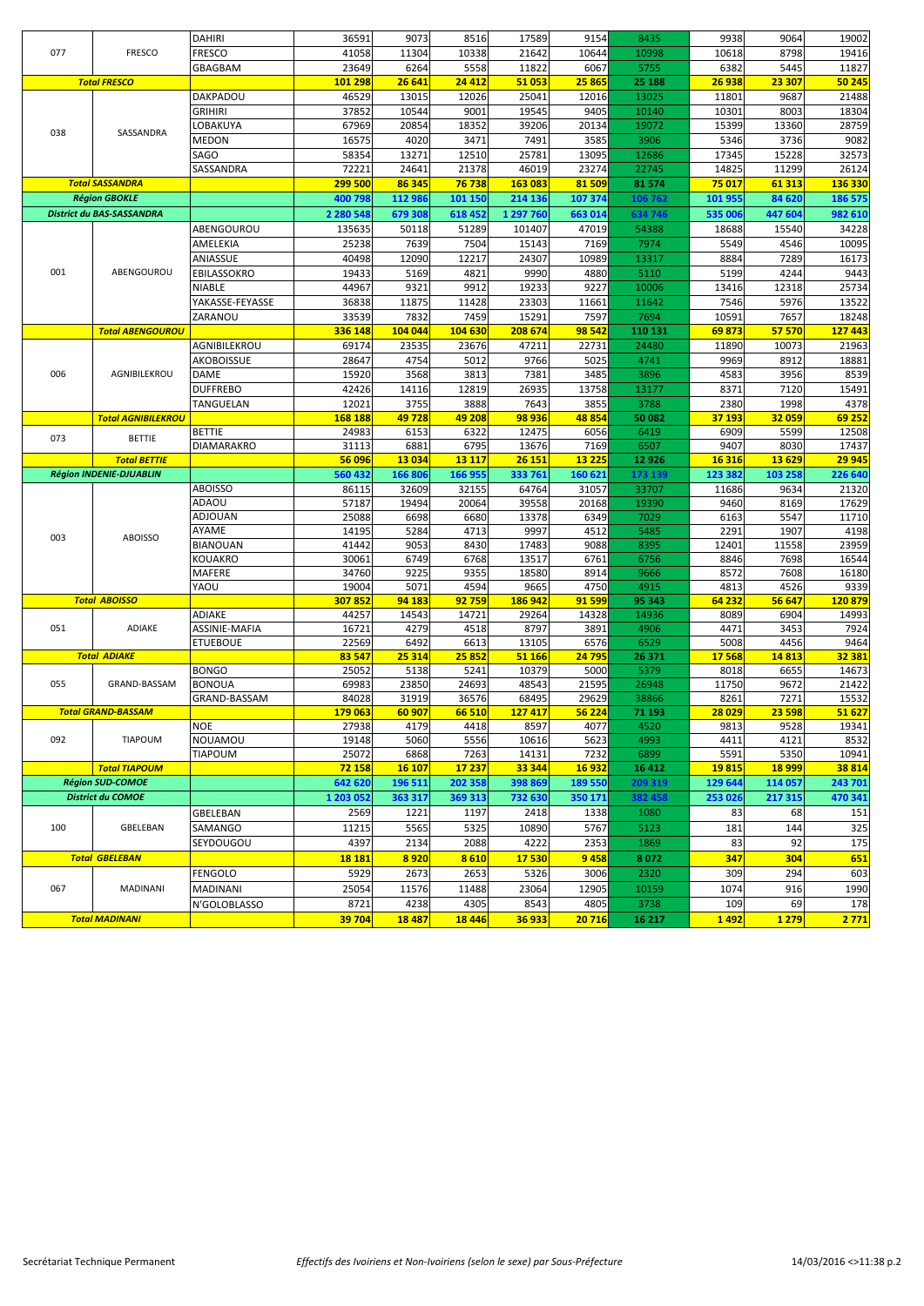| 077 | <b>FRESCO</b>                  | <b>DAHIRI</b><br><b>FRESCO</b> | 36591<br>41058 | 9073<br>11304 | 8516<br>10338 | 17589<br>21642 | 9154<br>10644 | 8435<br>10998 | 9938<br>10618 | 9064<br>8798  | 19002<br>19416 |
|-----|--------------------------------|--------------------------------|----------------|---------------|---------------|----------------|---------------|---------------|---------------|---------------|----------------|
|     |                                | GBAGBAM                        | 23649          | 6264          | 5558          | 11822          | 6067          | 5755          | 6382          | 5445          | 11827          |
|     | <b>Total FRESCO</b>            |                                | 101 298        | 26 641        | 24 4 12       | 51 053         | 25 865        | 25 188        | 26 938        | 23 307        | 50 245         |
|     |                                | DAKPADOU                       | 46529          | 13015         | 12026         | 25041          | 12016         | 13025         | 11801         | 9687          | 21488          |
|     |                                | GRIHIRI                        | 37852          | 10544         | 9001          | 19545          | 9405          | 10140         | 10301         | 8003          | 18304          |
|     |                                | <b>OBAKUYA</b>                 | 67969          | 20854         | 18352         | 39206          | 20134         | 19072         | 15399         | 13360         | 28759          |
| 038 | SASSANDRA                      | MEDON                          | 16575          | 4020          | 3471          | 7491           | 3585          | 3906          | 5346          | 3736          | 9082           |
|     |                                | SAGO                           | 58354          | 13271         | 12510         | 25781          | 13095         | 12686         | 17345         | 15228         | 32573          |
|     |                                | SASSANDRA                      | 72221          | 24641         | 21378         | 46019          | 23274         | 22745         | 14825         | 11299         | 26124          |
|     | <b>Total SASSANDRA</b>         |                                | 299 500        | 86 345        | 76 738        | 163 083        | 81509         | 81 574        | 75 017        | 61 313        | 136 330        |
|     | <b>Région GBOKLE</b>           |                                | 400 798        | 112 986       | 101 150       | 214 136        | 107 374       | 106 762       | 101 955       | 84 620        | 186 575        |
|     | District du BAS-SASSANDRA      |                                | 2 2 8 0 5 4 8  | 679 308       | 618 452       | 1 297 760      | 663 014       | 634 746       | 535 006       | 447 604       | 982 610        |
|     |                                | ABENGOUROU                     | 135635         | 50118         | 51289         | 101407         | 47019         | 54388         | 18688         | 15540         | 34228          |
|     |                                | AMELEKIA                       | 25238          | 7639          | 7504          | 15143          | 7169          | 7974          | 5549          | 4546          | 10095          |
|     |                                | ANIASSUE                       | 40498          | 12090         | 12217         | 24307          | 10989         | 13317         | 8884          | 7289          | 16173          |
| 001 | ABENGOUROU                     | EBILASSOKRO                    | 19433          | 5169          | 4821          | 9990           | 4880          | 5110          | 5199          | 4244          | 9443           |
|     |                                | NIABLE                         | 44967          | 9321          | 9912          | 19233          | 9227          | 10006         | 13416         | 12318         | 25734          |
|     |                                | YAKASSE-FEYASSE                | 36838          | 11875         | 11428         | 23303          | 11661         | 11642         | 7546          | 5976          | 13522          |
|     |                                | ZARANOU                        | 33539          | 7832          | 7459          | 15291          | 7597          | 7694          | 10591         | 7657          | 18248          |
|     | <b>Total ABENGOUROU</b>        |                                | 336 148        | 104 044       | 104 630       | 208 674        | 98 542        | 110 131       | 69873         | 57 570        | 127 443        |
|     |                                | AGNIBILEKROU                   | 69174          | 23535         | 23676         | 47211          | 22731         | 24480         | 11890         | 10073         | 21963          |
|     |                                | AKOBOISSUE                     | 28647          | 4754          | 5012          | 9766           | 5025          | 4741          | 9969          | 8912          | 18881          |
| 006 | AGNIBILEKROU                   | DAME                           | 15920          | 3568          | 3813          | 7381           | 3485          | 3896          | 4583          | 3956          | 8539           |
|     |                                | <b>DUFFREBO</b>                | 42426          | 14116         | 12819         | 26935          | 13758         | 13177         | 8371          | 7120          | 15491          |
|     |                                | TANGUELAN                      | 12021          | 3755          | 3888          | 7643           | 3855          | 3788          | 2380          | 1998          | 4378           |
|     | <b>Total AGNIBILEKROU</b>      |                                | 168 188        | 49728         | 49 208        | 98 936         | 48854         | 50 082        | 37 193        | 32 059        | 69 252         |
|     |                                | <b>BETTIE</b>                  | 24983          | 6153          | 6322          | 12475          | 6056          | 6419          | 6909          | 5599          | 12508          |
| 073 | <b>BETTIE</b>                  | <b>DIAMARAKRO</b>              | 31113          | 6881          | 6795          | 13676          | 7169          | 6507          | 9407          | 8030          | 17437          |
|     | <b>Total BETTIE</b>            |                                | 56 096         | 13 0 34       | 13 117        | 26 151         | 13 2 2 5      | 12 9 26       | 16 3 16       | 13 6 29       | 29 945         |
|     | <b>Région INDENIE-DJUABLIN</b> |                                | 560 432        | 166 806       | 166 955       | 333 761        | 160 621       | 173 139       | 123 382       | 103 258       | 226 640        |
|     |                                | <b>ABOISSO</b>                 | 86115          | 32609         | 32155         | 64764          | 31057         | 33707         | 11686         | 9634          | 21320          |
|     |                                | ADAOU                          | 57187          | 19494         | 20064         | 39558          | 20168         | 19390         | 9460          | 8169          | 17629          |
|     |                                | ADJOUAN                        | 25088          | 6698          | 6680          | 13378          | 6349          | 7029          | 6163          | 5547          | 11710          |
|     |                                | AYAME                          | 14195          | 5284          | 4713          | 9997           | 4512          | 5485          | 2291          | 1907          | 4198           |
| 003 | <b>ABOISSO</b>                 | <b>BIANOUAN</b>                | 41442          | 9053          | 8430          | 17483          | 9088          | 8395          | 12401         | 11558         | 23959          |
|     |                                | KOUAKRO                        | 30061          | 6749          | 6768          | 13517          | 6761          | 6756          | 8846          | 7698          | 16544          |
|     |                                | MAFERE                         | 34760          | 9225          | 9355          | 18580          | 8914          | 9666          | 8572          | 7608          | 16180          |
|     |                                | YAOU                           | 19004          | 5071          | 4594          | 9665           | 4750          | 4915          | 4813          | 4526          | 9339           |
|     | <b>Total ABOISSO</b>           |                                | 307852         | 94 183        | 92 759        | 186 942        | 91 599        | 95 343        | 64 232        | 56 647        | 120 879        |
|     |                                | ADIAKE                         | 44257          | 14543         | 14721         | 29264          | 14328         | 14936         | 8089          | 6904          | 14993          |
| 051 | <b>ADIAKE</b>                  | ASSINIE-MAFIA                  | 16721          | 4279          | 4518          | 8797           | 3891          | 4906          | 4471          | 3453          | 7924           |
|     |                                | <b>ETUEBOUE</b>                | 22569          | 6492          | 6613          | 13105          | 6576          | 6529          | 5008          | 4456          | 9464           |
|     | <b>Total ADIAKE</b>            |                                | 83 547         | 25 314        | 25 852        | 51 166         | 24 795        | 26 371        | 17568         | 14813         | 32 381         |
|     |                                | <b>BONGO</b>                   | 25052          | 5138          | 5241          | 10379          | 5000          | 5379          | 8018          | 6655          | 14673          |
| 055 | GRAND-BASSAM                   | <b>BONOUA</b>                  | 69983          | 23850         | 24693         | 48543          | 21595         | 26948         | 11750         | 9672          | 21422          |
|     |                                | GRAND-BASSAM                   | 84028          | 31919         | 36576         | 68495          | 29629         | 38866         | 8261          | 7271          | 15532          |
|     | <b>Total GRAND-BASSAM</b>      |                                | 179 063        | 60 907        | 66 510        | 127417         | 56 224        | 71 193        | 28 0 29       | 23 598        | 51 627         |
|     |                                | <b>NOE</b>                     | 27938          | 4179          | 4418          | 8597           | 4077          | 4520          | 9813          | 9528          | 19341          |
| 092 | <b>TIAPOUM</b>                 | NOUAMOU                        | 19148          | 5060          | 5556          | 10616          | 5623          | 4993          | 4411          | 4121          | 8532           |
|     |                                | TIAPOUM                        | 25072          | 6868          | 7263          | 14131          | 7232          | 6899          | 5591          | 5350          | 10941          |
|     | <b>Total TIAPOUM</b>           |                                | 72 158         | <b>16 107</b> | 17 237        | 33 344         | 16 932        | 16 412        | 19815         | <b>18 999</b> | 38 814         |
|     | <b>Région SUD-COMOE</b>        |                                | 642 620        | 196 511       | 202 358       | 398 869        | 189 550       | 209 319       | 129 644       | 114 057       | 243 701        |
|     | <b>District du COMOE</b>       |                                | 1 203 052      | 363 317       | 369 313       | 732 630        | 350 171       | 382458        | 253 026       | 217 315       | 470 341        |
|     |                                | GBELEBAN                       | 2569           | 1221          | 1197          | 2418           | 1338          | 1080          | 83            | 68            | 151            |
|     |                                |                                |                | 5565          | 5325          | 10890          | 5767          | 5123          | 181           | 144           | 325            |
| 100 | GBELEBAN                       | SAMANGO                        | 11215          |               |               |                |               |               |               |               |                |
|     |                                | SEYDOUGOU                      | 4397           | 2134          | 2088          | 4222           | 2353          | 1869          | 83            | 92            | 175            |
|     | <b>Total GBELEBAN</b>          |                                | <b>18181</b>   | 8920          | 8610          | 17530          | 9458          | 8072          | 347           | 304           | 651            |
|     |                                | FENGOLO                        | 5929           | 2673          | 2653          | 5326           | 3006          | 2320          | 309           | 294           | 603            |
| 067 | <b>MADINANI</b>                |                                |                |               |               |                |               |               | 1074          | 916           |                |
|     |                                | MADINANI<br>N'GOLOBLASSO       | 25054<br>8721  | 11576<br>4238 | 11488<br>4305 | 23064<br>8543  | 12905<br>4805 | 10159<br>3738 | 109           | 69            | 1990<br>178    |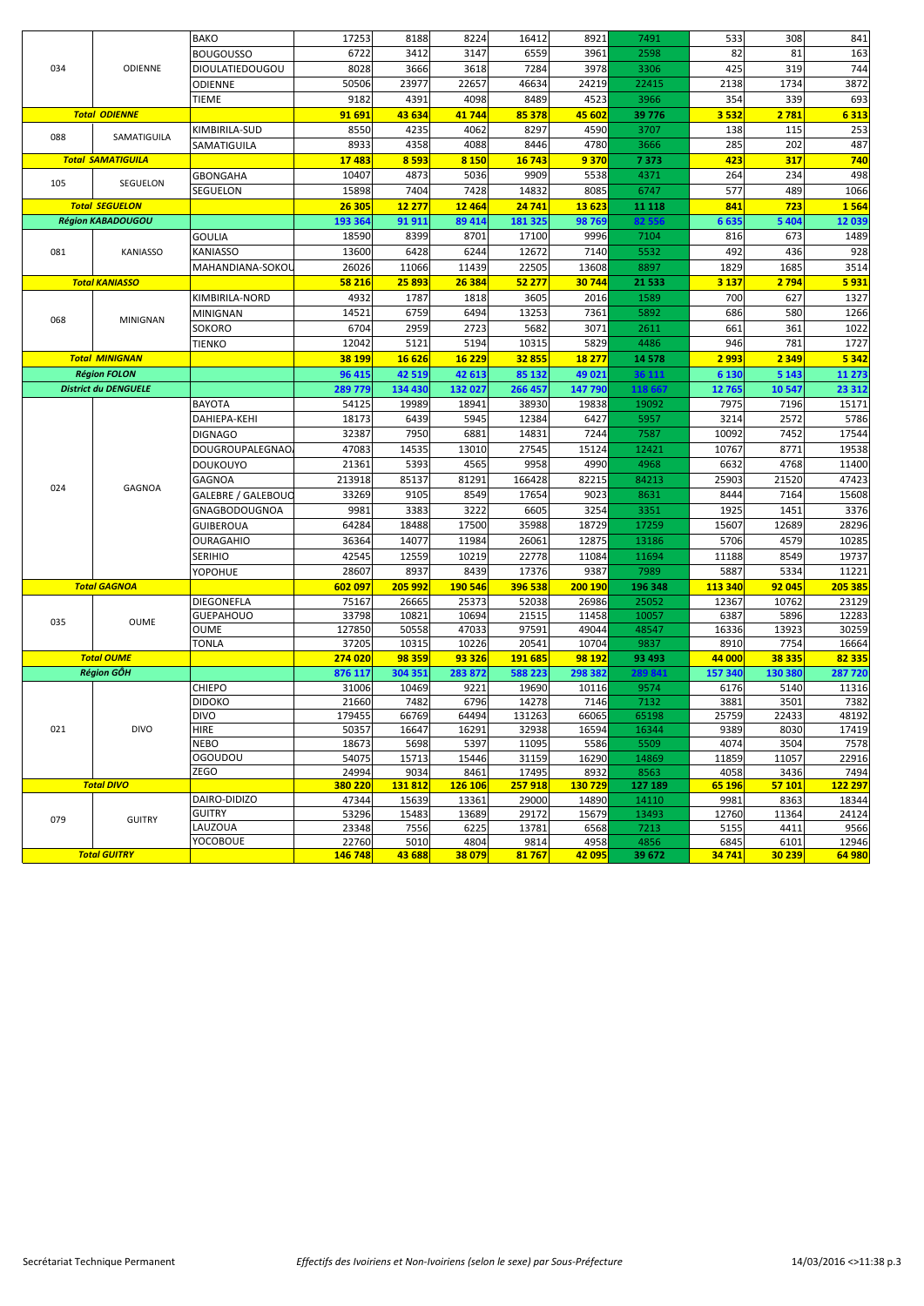|     |                             | <b>BAKO</b>                | 17253          | 8188          | 8224          | 16412          | 8921          | 7491          | 533          | 308          | 841           |
|-----|-----------------------------|----------------------------|----------------|---------------|---------------|----------------|---------------|---------------|--------------|--------------|---------------|
|     |                             | <b>BOUGOUSSO</b>           | 6722           | 3412          | 3147          | 6559           | 3961          | 2598          | 82           | 81           | 163           |
| 034 | ODIENNE                     | <b>DIOULATIEDOUGOU</b>     | 8028           | 3666          | 3618          | 7284           | 3978          | 3306          | 425          | 319          | 744           |
|     |                             | <b>ODIENNE</b>             | 50506          | 23977         | 22657         | 46634          | 24219         | 22415         | 2138         | 1734         | 3872          |
|     |                             |                            |                |               |               |                |               |               |              |              |               |
|     |                             | TIEME                      | 9182           | 4391          | 4098          | 8489           | 4523          | 3966          | 354          | 339          | 693           |
|     | <b>Total ODIENNE</b>        |                            | 91 691         | 43 634        | 41 744        | 85 378         | 45 602        | 39 776        | 3 5 3 2      | 2 781        | 6313          |
| 088 | SAMATIGUILA                 | KIMBIRILA-SUD              | 8550           | 4235          | 4062          | 8297           | 4590          | 3707          | 138          | 115          | 253           |
|     |                             | SAMATIGUILA                | 8933           | 4358          | 4088          | 8446           | 4780          | 3666          | 285          | 202          | 487           |
|     | <b>Total SAMATIGUILA</b>    |                            | 17483          | 8 5 9 3       | 8 1 5 0       | 16 743         | 9370          | 7373          | 423          | 317          | 740           |
| 105 | SEGUELON                    | <b>GBONGAHA</b>            | 10407          | 4873          | 5036          | 9909           | 5538          | 4371          | 264          | 234          | 498           |
|     |                             | SEGUELON                   | 15898          | 7404          | 7428          | 14832          | 8085          | 6747          | 577          | 489          | 1066          |
|     | <b>Total SEGUELON</b>       |                            | 26 30 5        | 12 277        | 12 4 64       | 24 741         | 13623         | 11 118        | 841          | 723          | 1 5 6 4       |
|     | <b>Région KABADOUGOU</b>    |                            | 193 364        | 91 911        | 89 414        | 181 325        | 98769         | 82 556        | 6635         | 5 4 0 4      | 12 039        |
|     |                             | <b>GOULIA</b>              | 18590          | 8399          | 8701          | 17100          | 9996          | 7104          | 816          | 673          | 1489          |
| 081 | <b>KANIASSO</b>             | <b>KANIASSO</b>            | 13600          | 6428          | 6244          | 12672          | 7140          | 5532          | 492          | 436          | 928           |
|     |                             | MAHANDIANA-SOKOL           | 26026          | 11066         | 11439         | 22505          | 13608         | 8897          | 1829         | 1685         | 3514          |
|     | <b>Total KANIASSO</b>       |                            | 58 216         | 25 893        | 26 384        | 52 277         | 30744         | 21 5 33       | 3 1 3 7      | 2 7 9 4      | 5931          |
|     |                             | KIMBIRILA-NORD             | 4932           | 1787          | 1818          | 3605           | 2016          | 1589          | 700          | 627          | 1327          |
|     |                             | MINIGNAN                   | 14521          | 6759          | 6494          | 13253          | 7361          | 5892          | 686          | 580          | 1266          |
| 068 | <b>MINIGNAN</b>             | SOKORO                     | 6704           | 2959          | 2723          | 5682           | 3071          | 2611          | 661          | 361          | 1022          |
|     |                             | <b>TIENKO</b>              | 12042          | 5121          | 5194          | 10315          | 5829          | 4486          | 946          | 781          | 1727          |
|     | <b>Total MINIGNAN</b>       |                            | 38 199         | 16 626        | 16 229        | 32855          | 18 277        | 14 5 78       | 2 9 9 3      | 2 3 4 9      | 5 3 4 2       |
|     | <b>Région FOLON</b>         |                            | 96 415         | 42 519        | 42 613        | 85 132         | 49 021        | 36 111        | 6 1 3 0      | 5 1 4 3      | 11 273        |
|     | <b>District du DENGUELE</b> |                            | 289 779        | 134 430       | 132 027       | 266 457        | 147 790       | 118 667       | 12765        | 10 547       | 23 312        |
|     |                             | <b>BAYOTA</b>              | 54125          | 19989         | 18941         | 38930          | 19838         | 19092         | 7975         | 7196         | 15171         |
|     |                             | DAHIEPA-KEHI               | 18173          | 6439          | 5945          | 12384          | 6427          | 5957          | 3214         | 2572         | 5786          |
|     |                             | <b>DIGNAGO</b>             | 32387          | 7950          | 6881          | 14831          | 7244          | 7587          | 10092        | 7452         | 17544         |
|     |                             |                            | 47083          | 14535         | 13010         | 27545          | 15124         | 12421         | 10767        | 8771         | 19538         |
|     |                             | DOUGROUPALEGNAO            | 21361          | 5393          | 4565          | 9958           | 4990          | 4968          | 6632         | 4768         | 11400         |
|     |                             | <b>DOUKOUYO</b>            |                |               |               |                |               |               |              |              |               |
| 024 | <b>GAGNOA</b>               | GAGNOA                     | 213918         | 85137         | 81291         | 166428         | 82215         | 84213         | 25903        | 21520        | 47423         |
|     |                             | GALEBRE / GALEBOUO         | 33269          | 9105          | 8549          | 17654          | 9023          | 8631          | 8444         | 7164         | 15608         |
|     |                             | GNAGBODOUGNOA              | 9981           | 3383          | 3222          | 6605           | 3254          | 3351          | 1925         | 1451         | 3376          |
|     |                             | <b>GUIBEROUA</b>           | 64284          | 18488         | 17500         | 35988          | 18729         | 17259         | 15607        | 12689        | 28296         |
|     |                             | <b>OURAGAHIO</b>           | 36364          | 14077         | 11984         | 26061          | 12875         | 13186         | 5706         | 4579         | 10285         |
|     |                             | <b>SERIHIO</b>             | 42545          | 12559         | 10219         | 22778          | 11084         | 11694         | 11188        | 8549         | 19737         |
|     |                             | YOPOHUE                    | 28607          | 8937          | 8439          | 17376          | 9387          | 7989          | 5887         | 5334         | 11221         |
|     | <b>Total GAGNOA</b>         |                            | 602 097        | 205 992       | 190 546       | 396 538        | 200 190       | 196 348       | 113 340      | 92 045       | 205 385       |
|     |                             | <b>DIEGONEFLA</b>          | 75167          | 26665         | 25373         | 52038          | 26986         | 25052         | 12367        | 10762        | 23129         |
| 035 | OUME                        | <b>GUEPAHOUO</b>           | 33798          | 10821         | 10694         | 21515          | 11458         | 10057         | 6387         | 5896         | 12283         |
|     |                             | <b>OUME</b>                | 127850         | 50558         | 47033         | 97591          | 49044         | 48547         | 16336        | 13923        | 30259         |
|     |                             | <b>TONLA</b>               | 37205          | 10315         | 10226         | 20541          | 10704         | 9837          | 8910         | 7754         | 16664         |
|     | <b>Total OUME</b>           |                            | 274 020        | 98 359        | 93 326        | 191 685        | 98 192        | 93 493        | 44 000       | 38 335       | 82 335        |
|     | <b>Région GÔH</b>           |                            | 876 117        | 304 351       | 283 872       | 588 223        | 298 382       | 289 841       | 157 340      | 130 380      | 287 720       |
|     |                             | CHIEPO                     | 31006          | 10469         | 9221          | 19690          | 10116         | 9574          | 6176         | 5140         | 11316         |
|     |                             | <b>DIDOKO</b>              | 21660          | 7482          | 6796          | 14278          | 7146          | 7132          | 3881         | 3501         | 7382          |
|     | <b>DIVO</b>                 | <b>DIVO</b>                | 179455         | 66769         | 64494         | 131263         | 66065         | 65198         | 25759        | 22433        | 48192         |
| 021 |                             | <b>HIRE</b><br><b>NEBO</b> | 50357<br>18673 | 16647<br>5698 | 16291<br>5397 | 32938          | 16594<br>5586 | 16344<br>5509 | 9389<br>4074 | 8030<br>3504 | 17419<br>7578 |
|     |                             | OGOUDOU                    | 54075          | 15713         | 15446         | 11095<br>31159 | 16290         | 14869         | 11859        | 11057        | 22916         |
|     |                             | ZEGO                       | 24994          | 9034          | 8461          | 17495          | 8932          | 8563          | 4058         | 3436         | 7494          |
|     | <b>Total DIVO</b>           |                            | 380 220        | 131812        | 126 106       | 257918         | 130 729       | 127 189       | 65 196       | 57 101       | 122 297       |
|     |                             | DAIRO-DIDIZO               | 47344          | 15639         | 13361         | 29000          | 14890         | 14110         | 9981         | 8363         | 18344         |
|     |                             | <b>GUITRY</b>              | 53296          | 15483         | 13689         | 29172          | 15679         | 13493         | 12760        | 11364        | 24124         |
| 079 | <b>GUITRY</b>               | LAUZOUA                    | 23348          | 7556          | 6225          | 13781          | 6568          | 7213          | 5155         | 4411         | 9566          |
|     |                             | <b>YOCOBOUE</b>            | 22760          | 5010          | 4804          | 9814           | 4958          | 4856          | 6845         | 6101         | 12946         |
|     | <b>Total GUITRY</b>         |                            | 146 748        | 43 688        | 38 079        | 81767          | 42 095        | 39 672        | 34 741       | 30 239       | 64 980        |
|     |                             |                            |                |               |               |                |               |               |              |              |               |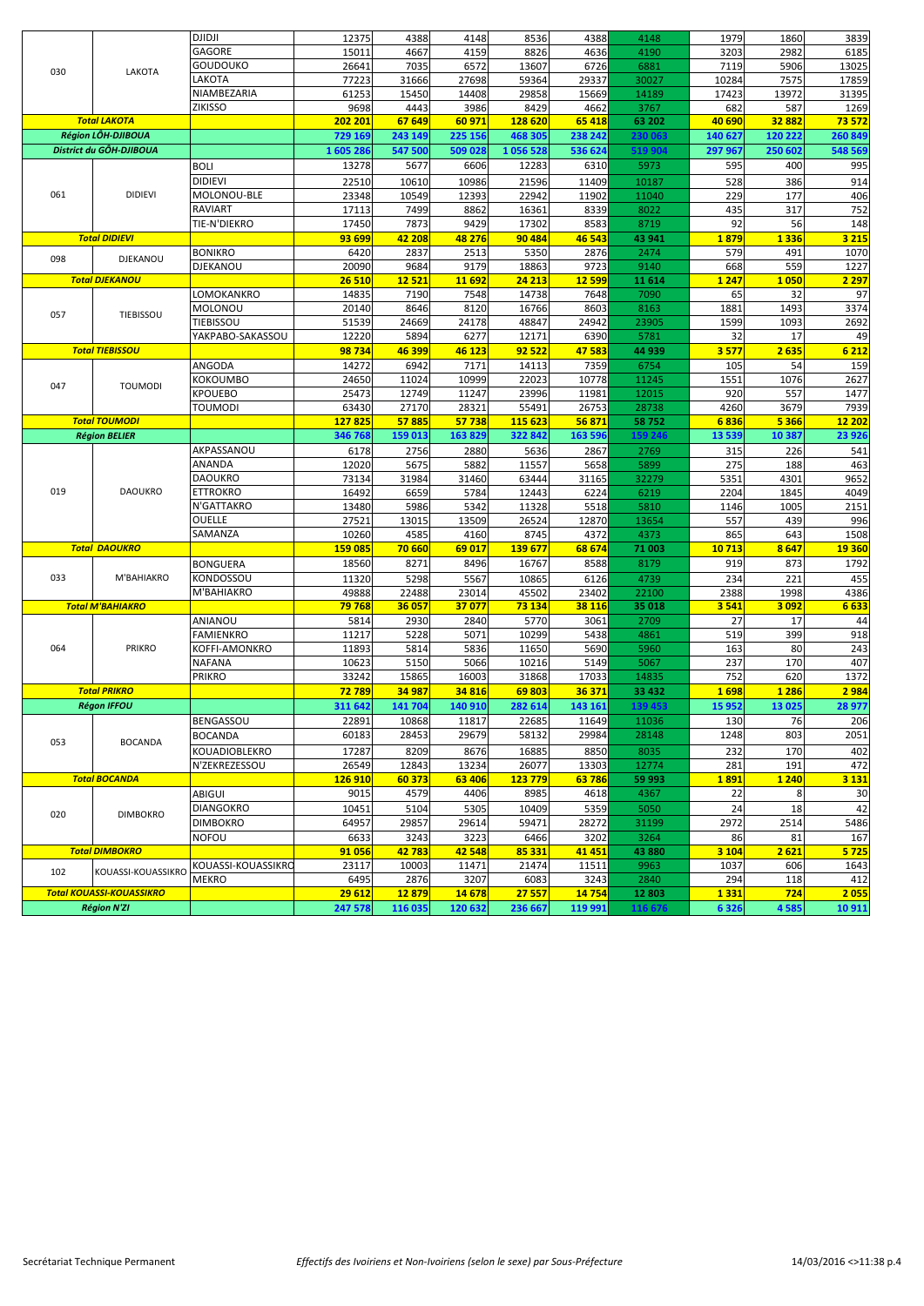|     |                                 | <b>DJIDJI</b>      | 12375          | 4388         | 4148    | 8536     | 4388         | 4148    | 1979    | 1860    | 3839        |
|-----|---------------------------------|--------------------|----------------|--------------|---------|----------|--------------|---------|---------|---------|-------------|
|     |                                 | GAGORE             | 15011          | 4667         | 4159    | 8826     | 4636         | 4190    | 3203    | 2982    | 6185        |
|     |                                 | GOUDOUKO           | 26641          | 7035         | 6572    | 13607    | 6726         | 6881    | 7119    | 5906    | 13025       |
| 030 | LAKOTA                          | <b>AKOTA</b>       | 77223          | 31666        | 27698   | 59364    | 29337        | 30027   | 10284   | 7575    | 17859       |
|     |                                 | NIAMBEZARIA        | 61253          | 15450        | 14408   | 29858    | 15669        | 14189   | 17423   | 13972   | 31395       |
|     |                                 | <b>ZIKISSO</b>     | 9698           | 4443         | 3986    | 8429     | 4662         | 3767    | 682     | 587     | 1269        |
|     | <b>Total LAKOTA</b>             |                    | 202 201        | 67 649       | 60 971  | 128 620  | 65 418       | 63 202  | 40 690  | 32882   | 73 572      |
|     | <b>Région LÔH-DJIBOUA</b>       |                    | 729 169        | 243 149      | 225 156 | 468 305  | 238 242      | 230 063 | 140 627 | 120 222 | 260 849     |
|     | District du GÔH-DJIBOUA         |                    | 1 605 28       | 547 500      | 509 028 | 1056 528 | 536 624      | 519 904 | 297 967 | 250 602 | 548 569     |
|     |                                 |                    | 13278          | 5677         | 6606    | 12283    | 6310         | 5973    | 595     | 400     | 995         |
|     |                                 | <b>BOLI</b>        |                |              |         |          |              |         |         |         |             |
|     |                                 | <b>DIDIEVI</b>     | 22510          | 10610        | 10986   | 21596    | 11409        | 10187   | 528     | 386     | 914         |
| 061 | <b>DIDIEVI</b>                  | MOLONOU-BLE        | 23348          | 10549        | 12393   | 22942    | 11902        | 11040   | 229     | 177     | 406         |
|     |                                 | <b>RAVIART</b>     | 17113          | 7499         | 8862    | 16361    | 8339         | 8022    | 435     | 317     | 752         |
|     |                                 | TIE-N'DIEKRO       | 17450          | 7873         | 9429    | 17302    | 8583         | 8719    | 92      | 56      | 148         |
|     | <b>Total DIDIEVI</b>            |                    | 93 699         | 42 208       | 48 276  | 90 484   | 46 543       | 43 941  | 1879    | 1336    | 3 2 1 5     |
| 098 | DJEKANOU                        | <b>BONIKRO</b>     | 6420           | 2837         | 2513    | 5350     | 2876         | 2474    | 579     | 491     | 1070        |
|     |                                 | DJEKANOU           | 20090          | 9684         | 9179    | 18863    | 9723         | 9140    | 668     | 559     | 1227        |
|     | <b>Total DJEKANOU</b>           |                    | <b>26510</b>   | <b>12521</b> | 11 692  | 24 213   | <b>12599</b> | 11 6 14 | 1 2 4 7 | 1050    | <b>2297</b> |
|     |                                 | LOMOKANKRO         | 14835          | 7190         | 7548    | 14738    | 7648         | 7090    | 65      | 32      | 97          |
| 057 | TIEBISSOU                       | MOLONOU            | 20140          | 8646         | 8120    | 16766    | 8603         | 8163    | 1881    | 1493    | 3374        |
|     |                                 | <b>TIEBISSOU</b>   | 51539          | 24669        | 24178   | 48847    | 24942        | 23905   | 1599    | 1093    | 2692        |
|     |                                 | YAKPABO-SAKASSOU   | 12220          | 5894         | 6277    | 12171    | 6390         | 5781    | 32      | 17      | 49          |
|     | <b>Total TIEBISSOU</b>          |                    | 98734          | 46 399       | 46 123  | 92 522   | 47583        | 44 939  | 3577    | 2635    | 6 2 1 2     |
|     |                                 | ANGODA             | 14272          | 6942         | 7171    | 14113    | 7359         | 6754    | 105     | 54      | 159         |
|     |                                 | KOKOUMBO           | 24650          | 11024        | 10999   | 22023    | 10778        | 11245   | 1551    | 1076    | 2627        |
| 047 | <b>TOUMODI</b>                  | <b>KPOUEBO</b>     | 25473          | 12749        | 11247   | 23996    | 11981        | 12015   | 920     | 557     | 1477        |
|     |                                 | <b>TOUMODI</b>     | 63430          | 27170        | 28321   | 55491    | 26753        | 28738   | 4260    | 3679    | 7939        |
|     | <b>Total TOUMODI</b>            |                    | 127825         | 57885        | 57738   | 115 623  | 56871        | 58752   | 6836    | 5 3 6 6 | 12 202      |
|     | <b>Région BELIER</b>            |                    | 346 768        | 159 013      | 163 829 | 322 842  | 163 596      | 159 24  | 13 539  | 10 387  | 23 926      |
|     |                                 | AKPASSANOU         | 6178           | 2756         | 2880    | 5636     | 2867         | 2769    | 315     | 226     | 541         |
|     |                                 | ANANDA             | 12020          | 5675         | 5882    | 11557    | 5658         | 5899    | 275     | 188     | 463         |
|     |                                 | DAOUKRO            | 73134          | 31984        | 31460   | 63444    | 31165        | 32279   | 5351    | 4301    | 9652        |
| 019 | <b>DAOUKRO</b>                  | ETTROKRO           | 16492          | 6659         | 5784    | 12443    | 6224         | 6219    | 2204    | 1845    | 4049        |
|     |                                 | N'GATTAKRO         | 13480          | 5986         | 5342    | 11328    | 5518         | 5810    | 1146    | 1005    | 2151        |
|     |                                 | OUELLE             |                |              |         |          |              |         | 557     | 439     |             |
|     |                                 | SAMANZA            | 27521          | 13015        | 13509   | 26524    | 12870        | 13654   |         |         | 996         |
|     |                                 |                    | 10260          | 4585         | 4160    | 8745     | 4372         | 4373    | 865     | 643     | 1508        |
|     | <b>Total DAOUKRO</b>            |                    | 159 085        | 70 660       | 69 017  | 139 677  | 68 674       | 71 003  | 10713   | 8647    | 19 360      |
|     |                                 | <b>BONGUERA</b>    | 18560          | 8271         | 8496    | 16767    | 8588         | 8179    | 919     | 873     | 1792        |
| 033 | M'BAHIAKRO                      | KONDOSSOU          | 11320          | 5298         | 5567    | 10865    | 6126         | 4739    | 234     | 221     | 455         |
|     |                                 | M'BAHIAKRO         | 49888          | 22488        | 23014   | 45502    | 23402        | 22100   | 2388    | 1998    | 4386        |
|     | <b>Total M'BAHIAKRO</b>         |                    | 79768          | 36 057       | 37077   | 73 134   | 38 116       | 35 018  | 3541    | 3 0 9 2 | 6633        |
|     |                                 | ANIANOU            | 5814           | 2930         | 2840    | 5770     | 3061         | 2709    | 27      | 17      | 44          |
|     |                                 | FAMIENKRO          | 11217          | 5228         | 5071    | 10299    | 5438         | 4861    | 519     | 399     | 918         |
| 064 | <b>PRIKRO</b>                   | KOFFI-AMONKRO      | 11893          | 5814         | 5836    | 11650    | 5690         | 5960    | 163     | 80      | 243         |
|     |                                 | NAFANA             | 10623          | 5150         | 5066    | 10216    | 5149         | 5067    | 237     | 170     | 407         |
|     |                                 | Prikro             | 33242          | 15865        | 16003   | 31868    | 17033        | 14835   | 752     | 620     | 1372        |
|     | <b>Total PRIKRO</b>             |                    | 72 789         | 34 987       | 34 816  | 69803    | 36 371       | 33 432  | 1698    | 1 2 8 6 | 2 9 8 4     |
|     | <b>Régon IFFOU</b>              |                    | 311 642        | 141 704      | 140 910 | 282 614  | 143 161      | 139 453 | 15 9 52 | 13 025  | 28 977      |
|     |                                 | <b>BENGASSOU</b>   | 22891          | 10868        | 11817   | 22685    | 11649        | 11036   | 130     | 76      | 206         |
|     |                                 | <b>BOCANDA</b>     | 60183          | 28453        | 29679   | 58132    | 29984        | 28148   | 1248    | 803     | 2051        |
| 053 | <b>BOCANDA</b>                  | KOUADIOBLEKRO      | 17287          | 8209         | 8676    | 16885    | 8850         | 8035    | 232     | 170     | 402         |
|     |                                 | N'ZEKREZESSOU      | 26549          | 12843        | 13234   | 26077    | 13303        | 12774   | 281     | 191     | 472         |
|     | <b>Total BOCANDA</b>            |                    | <b>126 910</b> | 60 373       | 63 406  | 123 779  | 63786        | 59 993  | 1891    | 1 2 4 0 | 3 1 3 1     |
|     |                                 |                    |                |              |         |          |              |         |         |         |             |
|     |                                 | ABIGUI             | 9015           | 4579         | 4406    | 8985     | 4618         | 4367    | 22      | 8       | 30          |
| 020 | <b>DIMBOKRO</b>                 | <b>DIANGOKRO</b>   | 10451          | 5104         | 5305    | 10409    | 5359         | 5050    | 24      | 18      | 42          |
|     |                                 | <b>DIMBOKRO</b>    | 64957          | 29857        | 29614   | 59471    | 28272        | 31199   | 2972    | 2514    | 5486        |
|     |                                 | NOFOU              | 6633           | 3243         | 3223    | 6466     | 3202         | 3264    | 86      | 81      | 167         |
|     | <b>Total DIMBOKRO</b>           |                    | 91056          | 42783        | 42 548  | 85 331   | 41 451       | 43 880  | 3 1 0 4 | 2621    | 5725        |
| 102 | KOUASSI-KOUASSIKRO              | KOUASSI-KOUASSIKRC | 23117          | 10003        | 11471   | 21474    | 11511        | 9963    | 1037    | 606     | 1643        |
|     |                                 | <b>MEKRO</b>       | 6495           | 2876         | 3207    | 6083     | 3243         | 2840    | 294     | 118     | 412         |
|     | <b>Total KOUASSI-KOUASSIKRO</b> |                    | 29 612         | 12879        | 14678   | 27 557   | 14754        | 12 803  | 1 3 3 1 | 724     | 2055        |
|     | <b>Région N'ZI</b>              |                    | 247 578        | 116 035      | 120 632 | 236 667  | 119 991      | 116 676 | 6 3 2 6 | 4585    | 10911       |
|     |                                 |                    |                |              |         |          |              |         |         |         |             |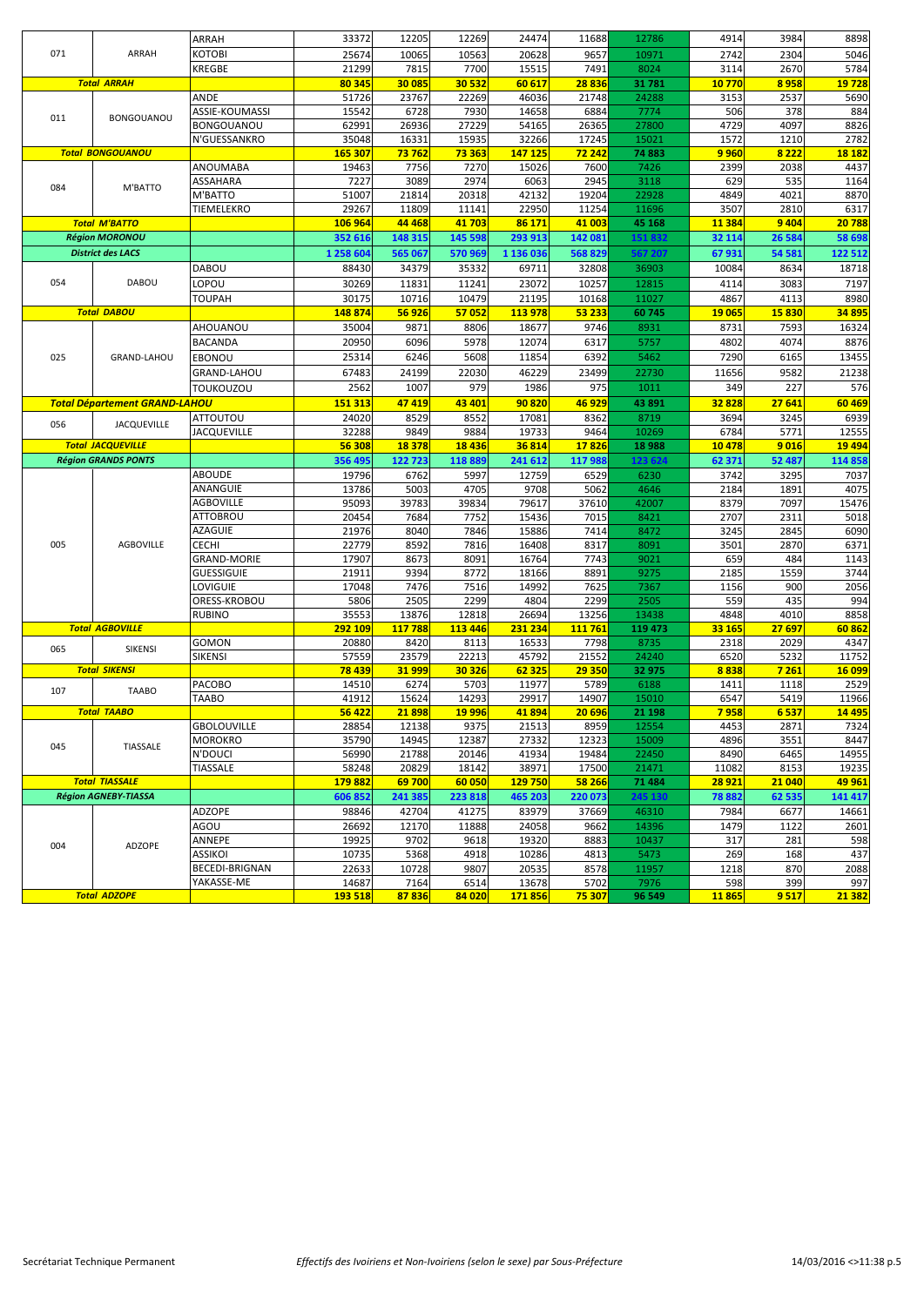|     |                                      | ARRAH                        | 33372          | 12205         | 12269        | 24474          | 11688        | 12786         | 4914        | 3984       | 8898        |
|-----|--------------------------------------|------------------------------|----------------|---------------|--------------|----------------|--------------|---------------|-------------|------------|-------------|
| 071 | ARRAH                                | котові                       | 25674          | 10065         | 10563        | 20628          | 9657         | 10971         | 2742        | 2304       | 5046        |
|     |                                      |                              | 21299          | 7815          | 7700         | 15515          | 7491         | 8024          | 3114        | 2670       | 5784        |
|     |                                      | KREGBE                       |                |               |              |                |              |               |             |            |             |
|     | <b>Total ARRAH</b>                   |                              | 80 345         | 30 085        | 30 532       | 60 617         | 28836        | 31 781        | 10770       | 8958       | 19728       |
|     |                                      | ANDE                         | 51726          | 23767         | 22269        | 46036          | 21748        | 24288         | 3153        | 2537       | 5690        |
| 011 | <b>BONGOUANOU</b>                    | ASSIE-KOUMASSI               | 15542          | 6728          | 7930         | 14658          | 6884         | 7774          | 506         | 378        | 884         |
|     |                                      | BONGOUANOU                   | 62991          | 26936         | 27229        | 54165          | 26365        | 27800         | 4729        | 4097       | 8826        |
|     |                                      | N'GUESSANKRO                 | 35048          | 16331         | 15935        | 32266          | 17245        | 15021         | 1572        | 1210       | 2782        |
|     | <b>Total BONGOUANOU</b>              |                              | 165 307        | 73762         | 73 363       | 147 125        | 72 242       | 74 883        | 9 9 6 0     | 8 2 2 2    | 18 18 2     |
|     |                                      | ANOUMABA                     | 19463          | 7756          | 7270         | 15026          | 7600         | 7426          | 2399        | 2038       | 4437        |
| 084 | M'BATTO                              | ASSAHARA                     | 7227           | 3089          | 2974         | 6063           | 2945         | 3118          | 629         | 535        | 1164        |
|     |                                      | M'BATTO                      | 51007          | 21814         | 20318        | 42132          | 19204        | 22928         | 4849        | 4021       | 8870        |
|     |                                      | TIEMELEKRO                   | 29267          | 11809         | 11141        | 22950          | 11254        | 11696         | 3507        | 2810       | 6317        |
|     | <b>Total M'BATTO</b>                 |                              | 106 964        | 44 468        | 41 703       | 86 171         | 41 003       | 45 168        | 11 3 8 4    | 9 4 0 4    | 20 788      |
|     | <b>Région MORONOU</b>                |                              | 352 616        | 148 315       | 145 598      | 293 913        | 142 081      | 151832        | 32 114      | 26 5 84    | 58 698      |
|     | <b>District des LACS</b>             |                              | 1 258 604      | 565 067       | 570 969      | 1 136 036      | 568829       | 567 207       | 67931       | 54 581     | 122 512     |
|     |                                      | DABOU                        | 88430          | 34379         | 35332        | 69711          | 32808        | 36903         | 10084       | 8634       | 18718       |
| 054 | <b>DABOU</b>                         | LOPOU                        | 30269          | 11831         | 11241        | 23072          | 10257        | 12815         | 4114        | 3083       | 7197        |
|     |                                      | TOUPAH                       | 30175          | 10716         | 10479        | 21195          | 10168        | 11027         | 4867        | 4113       | 8980        |
|     | <b>Total DABOU</b>                   |                              |                | 56 926        |              |                |              |               | 19 065      |            |             |
|     |                                      |                              | 148874         |               | 57052        | 113 978        | 53 233       | 60745         |             | 15830      | 34 895      |
|     |                                      | <b>AHOUANOU</b>              | 35004          | 9871          | 8806         | 18677          | 9746         | 8931          | 8731        | 7593       | 16324       |
|     |                                      | <b>BACANDA</b>               | 20950          | 6096          | 5978         | 12074          | 6317         | 5757          | 4802        | 4074       | 8876        |
| 025 | <b>GRAND-LAHOU</b>                   | EBONOU                       | 25314          | 6246          | 5608         | 11854          | 6392         | 5462          | 7290        | 6165       | 13455       |
|     |                                      | <b>GRAND-LAHOU</b>           | 67483          | 24199         | 22030        | 46229          | 23499        | 22730         | 11656       | 9582       | 21238       |
|     |                                      | <b>TOUKOUZOU</b>             | 2562           | 1007          | 979          | 1986           | 975          | 1011          | 349         | 227        | 576         |
|     | <b>Total Département GRAND-LAHOU</b> |                              | 151 313        | 47 419        | 43 401       | 90820          | 46 929       | 43 891        | 32828       | 27 641     | 60 469      |
|     |                                      | ATTOUTOU                     | 24020          | 8529          | 8552         | 17081          | 8362         | 8719          | 3694        | 3245       | 6939        |
| 056 | <b>JACQUEVILLE</b>                   | <b>JACQUEVILLE</b>           | 32288          | 9849          | 9884         | 19733          | 9464         | 10269         | 6784        | 5771       | 12555       |
|     | <b>Total JACQUEVILLE</b>             |                              | 56 308         | 18 3 78       | 18 4 36      | 36814          | 17826        | 18 9 88       | 10 4 78     | 9016       | 19 4 9 4    |
|     | <b>Région GRANDS PONTS</b>           |                              | 356 495        | 122723        | 118889       | 241 612        | 117 988      | 123 62        | 62 371      | 52 487     | 114 858     |
|     |                                      | <b>ABOUDE</b>                |                |               |              |                |              |               |             |            |             |
|     |                                      |                              | 19796          | 6762          | 5997         | 12759          | 6529         | 6230          | 3742        | 3295       | 7037        |
|     |                                      | ANANGUIE                     | 13786          | 5003          | 4705         | 9708           | 5062         | 4646          | 2184        | 1891       | 4075        |
|     |                                      | <b>AGBOVILLE</b>             | 95093          | 39783         | 39834        | 79617          | 37610        | 42007         | 8379        | 7097       | 15476       |
|     |                                      | <b>ATTOBROU</b>              | 20454          | 7684          | 7752         | 15436          | 7015         | 8421          | 2707        | 2311       | 5018        |
|     |                                      | AZAGUIE                      | 21976          | 8040          | 7846         | 15886          | 7414         | 8472          | 3245        | 2845       | 6090        |
| 005 | <b>AGBOVILLE</b>                     | CECHI                        | 22779          | 8592          | 7816         | 16408          | 8317         | 8091          | 3501        | 2870       | 6371        |
|     |                                      | <b>GRAND-MORIE</b>           | 17907          | 8673          | 8091         | 16764          | 7743         | 9021          | 659         | 484        | 1143        |
|     |                                      | <b>GUESSIGUIE</b>            | 21911          | 9394          | 8772         | 18166          | 8891         | 9275          | 2185        | 1559       | 3744        |
|     |                                      | LOVIGUIE                     | 17048          | 7476          | 7516         | 14992          | 7625         | 7367          | 1156        | 900        | 2056        |
|     |                                      | ORESS-KROBOU                 | 5806           | 2505          | 2299         | 4804           | 2299         | 2505          | 559         | 435        | 994         |
|     |                                      | <b>RUBINO</b>                | 35553          | 13876         | 12818        | 26694          | 13256        | 13438         | 4848        | 4010       | 8858        |
|     | <b>Total AGBOVILLE</b>               |                              | 292 109        | 117 788       | 113 446      | 231 234        | 111 761      | 119 473       | 33 165      | 27 697     | 60862       |
| 065 | SIKENSI                              | GOMON                        | 20880          | 8420          | 8113         | 16533          | 7798         | 8735          | 2318        | 2029       | 4347        |
|     |                                      | <b>SIKENSI</b>               | 57559          | 23579         | 22213        | 45792          | 21552        | 24240         | 6520        | 5232       | 11752       |
|     | <b>Total SIKENSI</b>                 |                              | 78 439         | 31 999        | 30 326       | 62 325         | 29 350       | 32 975        | 8838        | 7 261      | 16 099      |
| 107 | <b>TAABO</b>                         | PACOBO                       | 14510          | 6274          | 5703         | 11977          | 5789         | 6188          | 1411        | 1118       | 2529        |
|     |                                      | TAABO                        | 41912          | 15624         | 14293        | 29917          | 14907        | 15010         | 6547        | 5419       | 11966       |
|     | <b>Total TAABO</b>                   |                              | 56 422         | 21898         | 19 996       | 41894          | 20 696       | 21 198        | 7958        | 6537       | 14 495      |
|     |                                      | GBOLOUVILLE                  | 28854          | 12138         | 9375         | 21513          | 8959         | 12554         | 4453        | 2871       | 7324        |
|     |                                      | <b>MOROKRO</b>               | 35790          | 14945         | 12387        | 27332          | 12323        | 15009         | 4896        | 3551       | 8447        |
| 045 | TIASSALE                             | N'DOUCI                      | 56990          | 21788         | 20146        | 41934          | 19484        | 22450         | 8490        | 6465       | 14955       |
|     |                                      | <b>TIASSALE</b>              | 58248          | 20829         | 18142        | 38971          | 17500        | 21471         | 11082       | 8153       | 19235       |
|     |                                      |                              |                |               |              | 129 750        | 58 266       | 71 484        | 28 921      | 21 040     | 49 961      |
|     | <b>Total TIASSALE</b>                |                              | 179882         | 69700         | 60 050       |                |              |               |             |            |             |
|     | Région AGNEBY-TIASSA                 |                              | 606852         | 241 385       |              | 465 203        | 220 073      | 245 130       | 78882       | 62 535     | 141 417     |
|     |                                      |                              |                |               | 223818       |                |              |               |             |            |             |
|     |                                      | ADZOPE                       | 98846          | 42704         | 41275        | 83979          | 37669        | 46310         | 7984        | 6677       | 14661       |
|     |                                      | AGOU                         | 26692          | 12170         | 11888        | 24058          | 9662         | 14396         | 1479        | 1122       | 2601        |
| 004 | ADZOPE                               | ANNEPE                       | 19925          | 9702          | 9618         | 19320          | 8883         | 10437         | 317         | 281        | 598         |
|     |                                      | ASSIKOI                      | 10735          | 5368          | 4918         | 10286          | 4813         | 5473          | 269         | 168        | 437         |
|     |                                      | BECEDI-BRIGNAN<br>YAKASSE-ME | 22633<br>14687 | 10728<br>7164 | 9807<br>6514 | 20535<br>13678 | 8578<br>5702 | 11957<br>7976 | 1218<br>598 | 870<br>399 | 2088<br>997 |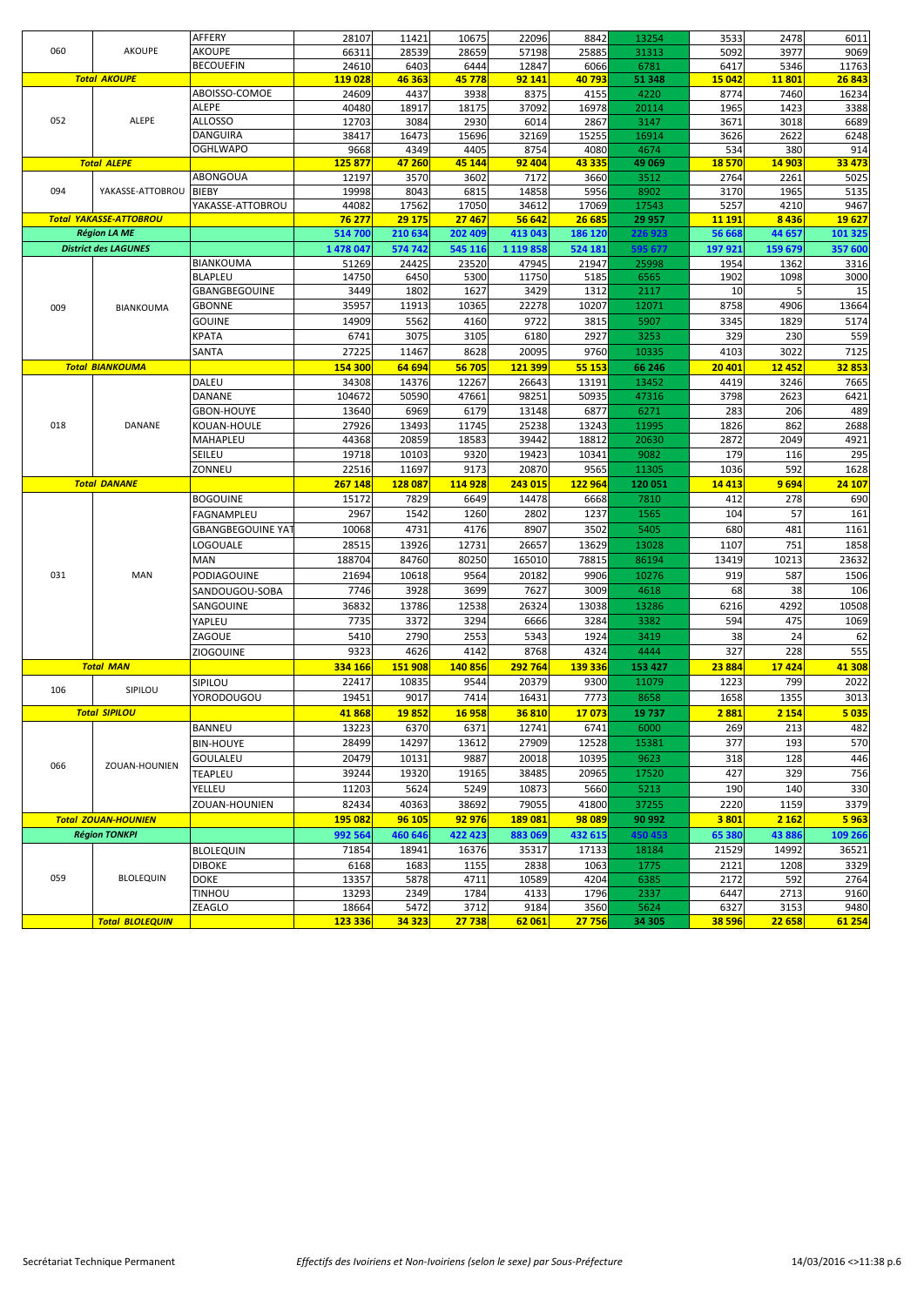|     |                               | AFFERY            | 28107            | 11421          | 10675          | 22096          | 8842    | 13254           | 3533           | 2478           | 6011           |
|-----|-------------------------------|-------------------|------------------|----------------|----------------|----------------|---------|-----------------|----------------|----------------|----------------|
| 060 | <b>AKOUPE</b>                 | AKOUPE            | 66311            | 28539          | 28659          | 57198          | 25885   | 31313           | 5092           | 3977           | 9069           |
|     |                               | <b>BECOUEFIN</b>  | 24610            | 6403           | 6444           | 12847          | 6066    | 6781            | 6417           | 5346           | 11763          |
|     | <b>Total AKOUPE</b>           |                   | 119 028          | 46 363         | 45 778         | 92 141         | 40793   | 51 348          | <b>15 042</b>  | 11801          | 26843          |
|     |                               | ABOISSO-COMOE     | 24609            | 4437           | 3938           | 8375           | 4155    | 4220            | 8774           | 7460           | 16234          |
|     |                               | ALEPE             | 40480            | 18917          | 18175          | 37092          | 16978   | 20114           | 1965           | 1423           | 3388           |
| 052 | ALEPE                         | ALLOSSO           | 12703            | 3084           | 2930           | 6014           | 2867    | 3147            | 3671           | 3018           | 6689           |
|     |                               | <b>DANGUIRA</b>   | 38417            | 16473          | 15696          | 32169          | 15255   | 16914           | 3626           | 2622           | 6248           |
|     |                               | <b>OGHLWAPO</b>   | 9668             | 4349           | 4405           | 8754           | 4080    | 4674            | 534            | 380            | 914            |
|     | <b>Total ALEPE</b>            |                   | 125 877          | 47 260         | 45 144         | 92 404         | 43 335  | 49 069          | 18570          | 14 903         | 33 473         |
|     |                               | ABONGOUA          | 12197            | 3570           | 3602           | 7172           | 3660    | 3512            | 2764           | 2261           | 5025           |
| 094 | YAKASSE-ATTOBROU              | <b>BIEBY</b>      | 19998            | 8043           | 6815           | 14858          | 5956    | 8902            | 3170           | 1965           | 5135           |
|     |                               | YAKASSE-ATTOBROU  | 44082            | 17562          | 17050          | 34612          | 17069   | 17543           | 5257           | 4210           | 9467           |
|     | <b>Total YAKASSE-ATTOBROU</b> |                   | 76 277           | 29 175         | 27 467         | 56 642         | 26 685  | 29 957          | 11 191         | 8436           | 19627          |
|     | <b>Région LA ME</b>           |                   | 514 700          | 210 634        | 202 409        | 413 043        | 186 120 | 226 923         | 56 668         | 44 657         | 101 325        |
|     | <b>District des LAGUNES</b>   |                   | 1 478 047        | 574 742        | 545 116        | 1 1 1 9 8 5 8  | 524 181 | 595 677         | 197 921        | 159 679        | 357 600        |
|     |                               | <b>BIANKOUMA</b>  | 51269            | 24425          | 23520          | 47945          | 21947   | 25998           | 1954           | 1362           | 3316           |
|     |                               | <b>BLAPLEU</b>    | 14750            | 6450           | 5300           | 11750          | 5185    | 6565            | 1902           | 1098           | 3000           |
|     |                               | GBANGBEGOUINE     | 3449             | 1802           | 1627           | 3429           | 1312    | 2117            | 10             | 5              | 15             |
| 009 | BIANKOUMA                     | GBONNE            | 35957            | 11913          | 10365          | 22278          | 10207   | 12071           | 8758           | 4906           | 13664          |
|     |                               | <b>GOUINE</b>     | 14909            | 5562           | 4160           | 9722           | 3815    | 5907            | 3345           | 1829           | 5174           |
|     |                               | KPATA             | 6741             | 3075           | 3105           | 6180           | 2927    | 3253            | 329            | 230            | 559            |
|     |                               |                   | 27225            | 11467          | 8628           | 20095          | 9760    | 10335           | 4103           | 3022           | 7125           |
|     |                               | SANTA             |                  |                |                |                |         |                 |                |                |                |
|     | <b>Total BIANKOUMA</b>        |                   | 154 300          | 64 694         | 56 705         | 121 399        | 55 153  | 66 246          | 20 401         | <b>12452</b>   | 32853          |
|     |                               | DALEU             | 34308            | 14376          | 12267          | 26643          | 13191   | 13452           | 4419           | 3246           | 7665           |
|     |                               | DANANE            | 104672           | 50590          | 47661          | 98251          | 50935   | 47316           | 3798           | 2623           | 6421           |
|     |                               | <b>GBON-HOUYE</b> | 13640            | 6969           | 6179           | 13148          | 6877    | 6271            | 283            | 206            | 489            |
| 018 | <b>DANANE</b>                 | KOUAN-HOULE       | 27926            | 13493          | 11745          | 25238          | 13243   | 11995           | 1826           | 862            | 2688           |
|     |                               | MAHAPLEU          | 44368            | 20859          | 18583          | 39442          | 18812   | 20630           | 2872           | 2049           | 4921           |
|     |                               | SEILEU            | 19718            | 10103          | 9320           | 19423          | 10341   | 9082            | 179            | 116            | 295            |
|     |                               |                   |                  |                |                |                |         |                 |                |                |                |
|     |                               | ZONNEU            | 22516            | 11697          | 9173           | 20870          | 9565    | 11305           | 1036           | 592            | 1628           |
|     | <b>Total DANANE</b>           |                   | 267 148          | 128 087        | 114 928        | 243 015        | 122 964 | 120 051         | 14 4 13        | 9694           | 24 107         |
|     |                               |                   |                  |                |                |                |         |                 | 412            | 278            |                |
|     |                               | <b>BOGOUINE</b>   | 15172            | 7829           | 6649           | 14478          | 6668    | 7810            |                |                | 690            |
|     |                               | FAGNAMPLEU        | 2967             | 1542           | 1260           | 2802           | 1237    | 1565            | 104            | 57             | 161            |
|     |                               | GBANGBEGOUINE YA1 | 10068            | 4731           | 4176           | 8907           | 3502    | 5405            | 680            | 481            | 1161           |
|     |                               | OGOUALE           | 28515            | 13926          | 12731          | 26657          | 13629   | 13028           | 1107           | 751            | 1858           |
|     |                               | MAN               | 188704           | 84760          | 80250          | 165010         | 78815   | 86194           | 13419          | 10213          | 23632          |
| 031 | MAN                           | PODIAGOUINE       | 21694            | 10618          | 9564           | 20182          | 9906    | 10276           | 919            | 587            | 1506           |
|     |                               | SANDOUGOU-SOBA    | 7746             | 3928           | 3699           | 7627           | 3009    | 4618            | 68             | 38             | 106            |
|     |                               | SANGOUINE         | 36832            | 13786          | 12538          | 26324          | 13038   | 13286           | 6216           | 4292           | 10508          |
|     |                               | YAPLEU            | 7735             | 3372           | 3294           | 6666           | 3284    | 3382            | 594            | 475            | 1069           |
|     |                               |                   |                  |                |                |                |         |                 |                |                |                |
|     |                               | ZAGOUE            | 5410             | 2790           | 2553           | 5343           | 1924    | 3419            | 38             | 24             | 62             |
|     |                               | ZIOGOUINE         | 9323             | 4626           | 4142           | 8768           | 4324    | 4444            | 327            | 228            | 555            |
|     | <b>Total MAN</b>              |                   | 334 166          | 151 908        | 140856         | 292 764        | 139 336 | 153 427         | 23884          | 17424          | 41 308         |
| 106 | SIPILOU                       | SIPILOU           | 22417            | 10835          | 9544           | 20379          | 9300    | 11079           | 1223           | 799            | 2022           |
|     |                               | YORODOUGOU        | 19451            | 9017           | 7414           | 16431          | 7773    | 8658            | 1658           | 1355           | 3013           |
|     | <b>Total SIPILOU</b>          |                   | 41868            | 19852          | 16 958         | 36810          | 17073   | 19737           | 2 8 8 1        | 2 1 5 4        | 5035           |
|     |                               | <b>BANNEU</b>     | 13223            | 6370           | 6371           | 12741          | 6741    | 6000            | 269            | 213            | 482            |
|     |                               | <b>BIN-HOUYE</b>  | 28499            | 14297          | 13612          | 27909          | 12528   | 15381           | 377            | 193            | 570            |
|     |                               | GOULALEU          | 20479            | 10131          | 9887           | 20018          | 10395   | 9623            | 318            | 128            | 446            |
| 066 | ZOUAN-HOUNIEN                 | TEAPLEU           | 39244            | 19320          | 19165          | 38485          | 20965   | 17520           | 427            | 329            | 756            |
|     |                               |                   |                  |                |                |                |         |                 | 190            | 140            |                |
|     |                               | YELLEU            | 11203            | 5624           | 5249           | 10873          | 5660    | 5213            |                |                | 330            |
|     |                               | ZOUAN-HOUNIEN     | 82434            | 40363          | 38692          | 79055          | 41800   | 37255           | 2220           | 1159           | 3379           |
|     | <b>Total ZOUAN-HOUNIEN</b>    |                   | 195 082          | 96 105         | 92 976         | 189 081        | 98 089  | 90 992          | 3801           | 2 1 6 2        | 5963           |
|     | <b>Région TONKPI</b>          |                   | 992 564          | 460 646        | 422 423        | 883 069        | 432 615 | 450 453         | 65 380         | 43886          | 109 266        |
|     |                               | <b>BLOLEQUIN</b>  | 71854            | 18941          | 16376          | 35317          | 17133   | 18184           | 21529          | 14992          | 36521          |
|     |                               | <b>DIBOKE</b>     | 6168             | 1683           | 1155           | 2838           | 1063    | 1775            | 2121           | 1208           | 3329           |
| 059 | <b>BLOLEQUIN</b>              | DOKE              | 13357            | 5878           | 4711           | 10589          | 4204    | 6385            | 2172           | 592            | 2764           |
|     |                               | <b>TINHOU</b>     | 13293            | 2349           | 1784           | 4133           | 1796    | 2337            | 6447           | 2713           | 9160           |
|     | <b>Total BLOLEQUIN</b>        | ZEAGLO            | 18664<br>123 336 | 5472<br>34 323 | 3712<br>27 738 | 9184<br>62 061 | 3560    | 5624<br>34 30 5 | 6327<br>38 596 | 3153<br>22 658 | 9480<br>61 254 |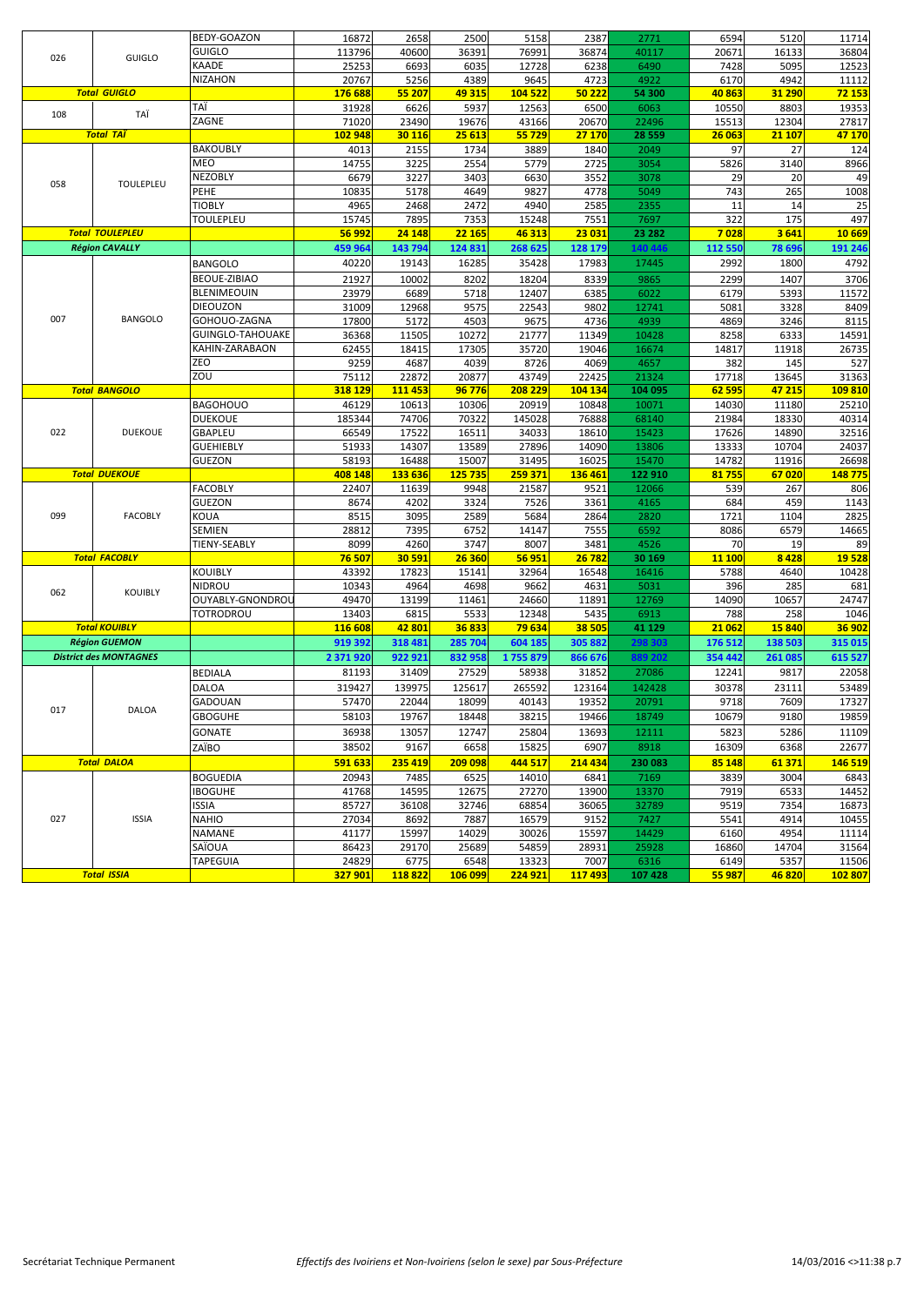|     |                               | BEDY-GOAZON             | 16872            | 2658           | 2500                   | 5158             | 2387            | 2771            | 6594           | 5120          | 11714            |
|-----|-------------------------------|-------------------------|------------------|----------------|------------------------|------------------|-----------------|-----------------|----------------|---------------|------------------|
|     |                               | <b>GUIGLO</b>           | 113796           | 40600          | 36391                  | 76991            | 36874           | 40117           | 20671          | 16133         | 36804            |
| 026 | <b>GUIGLO</b>                 | KAADE                   | 25253            | 6693           | 6035                   | 12728            | 6238            | 6490            | 7428           | 5095          | 12523            |
|     |                               | <b>NIZAHON</b>          | 20767            | 5256           | 4389                   | 9645             | 4723            | 4922            | 6170           | 4942          | 11112            |
|     | <b>Total GUIGLO</b>           |                         | 176 688          | 55 207         | 49 315                 | 104 522          | 50 222          | 54 300          | 40863          | 31 290        | 72 153           |
|     |                               | TAÏ                     | 31928            | 6626           | 5937                   | 12563            | 6500            | 6063            | 10550          | 8803          | 19353            |
| 108 | TAÏ                           | ZAGNE                   | 71020            | 23490          | 19676                  | 43166            | 20670           | 22496           | 15513          | 12304         | 27817            |
|     | <b>Total TAÏ</b>              |                         | 102 948          | 30 116         | 25 613                 | 55 729           | 27 170          | 28 5 5 9        | 26 063         | 21 107        | 47 170           |
|     |                               | <b>BAKOUBLY</b>         | 4013             | 2155           | 1734                   | 3889             | 1840            | 2049            | 97             | 27            | 124              |
|     |                               | MEO                     | 14755            | 3225           | 2554                   | 5779             | 2725            | 3054            | 5826           | 3140          | 8966             |
|     |                               | <b>NEZOBLY</b>          | 6679             | 3227           | 3403                   | 6630             | 3552            | 3078            | 29             | 20            | 49               |
| 058 | <b>TOULEPLEU</b>              | PEHE                    | 10835            | 5178           | 4649                   | 9827             | 4778            | 5049            | 743            | 265           | 1008             |
|     |                               | <b>TIOBLY</b>           | 4965             | 2468           | 2472                   | 4940             | 2585            | 2355            | 11             | 14            | 25               |
|     |                               | <b>TOULEPLEU</b>        | 15745            | 7895           | 7353                   | 15248            | 7551            | 7697            | 322            | 175           | 497              |
|     | <b>Total TOULEPLEU</b>        |                         | 56 992           | 24 148         | 22 165                 | 46 313           | 23 031          | 23 28 2         | 7028           | 3641          | 10 669           |
|     | <b>Région CAVALLY</b>         |                         | 459 964          |                | 124 831                | 268 625          | 128 179         | 140 446         | 112 550        |               | 191 246          |
|     |                               |                         |                  | 143 794        |                        |                  |                 |                 |                | 78 696        |                  |
|     |                               | <b>BANGOLO</b>          | 40220            | 19143          | 16285                  | 35428            | 17983           | 17445           | 2992           | 1800          | 4792             |
|     |                               | <b>BEOUE-ZIBIAO</b>     | 21927            | 10002          | 8202                   | 18204            | 8339            | 9865            | 2299           | 1407          | 3706             |
|     |                               | BLENIMEOUIN             | 23979            | 6689           | 5718                   | 12407            | 6385            | 6022            | 6179           | 5393          | 11572            |
|     |                               | <b>DIEOUZON</b>         | 31009            | 12968          | 9575                   | 22543            | 9802            | 12741           | 5081           | 3328          | 8409             |
| 007 | <b>BANGOLO</b>                | GOHOUO-ZAGNA            | 17800            | 5172           | 4503                   | 9675             | 4736            | 4939            | 4869           | 3246          | 8115             |
|     |                               | <b>GUINGLO-TAHOUAKE</b> | 36368            | 11505          | 10272                  | 21777            | 11349           | 10428           | 8258           | 6333          | 14591            |
|     |                               | KAHIN-ZARABAON          | 62455            | 18415          | 17305                  | 35720            | 19046           | 16674           | 14817          | 11918         | 26735            |
|     |                               | ZEO                     | 9259             | 4687           | 4039                   | 8726             | 4069            | 4657            | 382            | 145           | 527              |
|     |                               | ZOU                     | 75112            | 22872          | 20877                  | 43749            | 22425           | 21324           | 17718          | 13645         | 31363            |
|     | <b>Total BANGOLO</b>          |                         | 318 129          | 111 453        | 96 776                 | 208 229          | 104 134         | 104 095         | 62 595         | 47 215        | 109810           |
|     |                               | <b>BAGOHOUO</b>         | 46129            | 10613          | 10306                  | 20919            | 10848           | 10071           | 14030          | 11180         | 25210            |
|     |                               | <b>DUEKOUE</b>          | 185344           | 74706          | 70322                  | 145028           | 76888           | 68140           | 21984          | 18330         | 40314            |
| 022 | <b>DUEKOUE</b>                | <b>GBAPLEU</b>          | 66549            | 17522          | 16511                  | 34033            | 18610           | 15423           | 17626          | 14890         | 32516            |
|     |                               | <b>GUEHIEBLY</b>        | 51933            | 14307          | 13589                  | 27896            | 14090           | 13806           | 13333          | 10704         | 24037            |
|     |                               | <b>GUEZON</b>           | 58193            | 16488          | 15007                  | 31495            | 16025           | 15470           | 14782          | 11916         | 26698            |
|     | <b>Total DUEKOUE</b>          |                         | 408 148          | 133 636        | 125 735                | 259 371          | 136 461         | 122 910         | 81 755         | 67020         | 148775           |
|     |                               | <b>FACOBLY</b>          | 22407            | 11639          | 9948                   | 21587            | 9521            | 12066           | 539            | 267           | 806              |
|     |                               | <b>GUEZON</b>           | 8674             | 4202           | 3324                   | 7526             | 3361            | 4165            | 684            | 459           | 1143             |
| 099 | <b>FACOBLY</b>                | KOUA                    | 8515             | 3095           | 2589                   | 5684             | 2864            | 2820            | 1721           | 1104          | 2825             |
|     |                               | SEMIEN                  | 28812            | 7395           | 6752                   | 14147            | 7555            | 6592            | 8086           | 6579          | 14665            |
|     |                               | TIENY-SEABLY            | 8099             | 4260           | 3747                   | 8007             | 3481            | 4526            | 70             | 19            | 89               |
|     | <b>Total FACOBLY</b>          |                         | 76 507           | 30 591         | 26 360                 | 56 951           | 26 782          | 30 169          | 11 100         | 8428          | 19 5 28          |
|     |                               | KOUIBLY                 | 43392            | 17823          | 15141                  | 32964            | 16548           | 16416           | 5788           | 4640          | 10428            |
|     |                               | <b>NIDROU</b>           | 10343            | 4964           | 4698                   | 9662             | 4631            | 5031            | 396            | 285           | 681              |
| 062 | <b>KOUIBLY</b>                | OUYABLY-GNONDROL        | 49470            | 13199          | 11461                  | 24660            | 11891           | 12769           | 14090          | 10657         | 24747            |
|     |                               | TOTRODROU               | 13403            | 6815           | 5533                   | 12348            | 5435            | 6913            | 788            | 258           | 1046             |
|     | <b>Total KOUIBLY</b>          |                         | 116 608          | 42 801         | 36833                  | 79 634           | 38 505          | 41 129          | 21 062         | 15840         | 36 902           |
|     | <b>Région GUEMON</b>          |                         | 919 392          | 318 481        | 285 704                | 604 185          | 305 882         | 298 303         | 176 512        | 138 503       | 315 015          |
|     | <b>District des MONTAGNES</b> |                         | 2 371 920        | 922 921        | 832 958                | 1755879          | 866 676         | 889 202         | 354 442        | 261 085       | 615 527          |
|     |                               |                         |                  |                |                        |                  |                 |                 |                |               |                  |
|     |                               | <b>BEDIALA</b>          | 81193            | 31409          | 27529                  | 58938            | 31852           | 27086           | 12241          | 9817          | 22058            |
|     |                               | DALOA                   | 319427           | 139975         | 125617                 | 265592           | 123164          | 142428          | 30378          | 23111         | 53489            |
| 017 | <b>DALOA</b>                  | GADOUAN                 | 57470            | 22044          | 18099                  | 40143            | 19352           | 20791           | 9718           | 7609          | 17327            |
|     |                               | <b>GBOGUHE</b>          | 58103            | 19767          | 18448                  | 38215            | 19466           | 18749           | 10679          | 9180          | 19859            |
|     |                               | GONATE                  | 36938            | 13057          | 12747                  | 25804            | 13693           | 12111           | 5823           | 5286          | 11109            |
|     |                               | ZAÏBO                   | 38502            | 9167           | 6658                   | 15825            | 6907            | 8918            | 16309          | 6368          | 22677            |
|     | <b>Total DALOA</b>            |                         | 591 633          | 235 419        | 209 098                | 444 517          | 214 434         | 230 083         | 85 148         | 61 371        | 146 519          |
|     |                               | <b>BOGUEDIA</b>         | 20943            | 7485           | 6525                   | 14010            | 6841            | 7169            | 3839           | 3004          | 6843             |
|     |                               | <b>IBOGUHE</b>          | 41768            | 14595          | 12675                  | 27270            | 13900           | 13370           | 7919           | 6533          | 14452            |
|     |                               | ISSIA                   | 85727            | 36108          | 32746                  | 68854            | 36065           | 32789           | 9519           | 7354          | 16873            |
| 027 | <b>ISSIA</b>                  | NAHIO                   | 27034            | 8692           | 7887                   | 16579            | 9152            | 7427            | 5541           | 4914          | 10455            |
|     |                               | NAMANE                  | 41177            | 15997          | 14029                  | 30026            | 15597           | 14429           | 6160           | 4954          | 11114            |
|     |                               | SAÏOUA                  | 86423            | 29170          | 25689                  | 54859            | 28931           | 25928           | 16860          | 14704         | 31564            |
|     |                               |                         |                  |                |                        |                  |                 |                 |                |               |                  |
|     |                               |                         |                  |                |                        |                  |                 |                 |                |               |                  |
|     | <b>Total ISSIA</b>            | TAPEGUIA                | 24829<br>327 901 | 6775<br>118822 | 6548<br><b>106 099</b> | 13323<br>224 921 | 7007<br>117 493 | 6316<br>107 428 | 6149<br>55 987 | 5357<br>46820 | 11506<br>102 807 |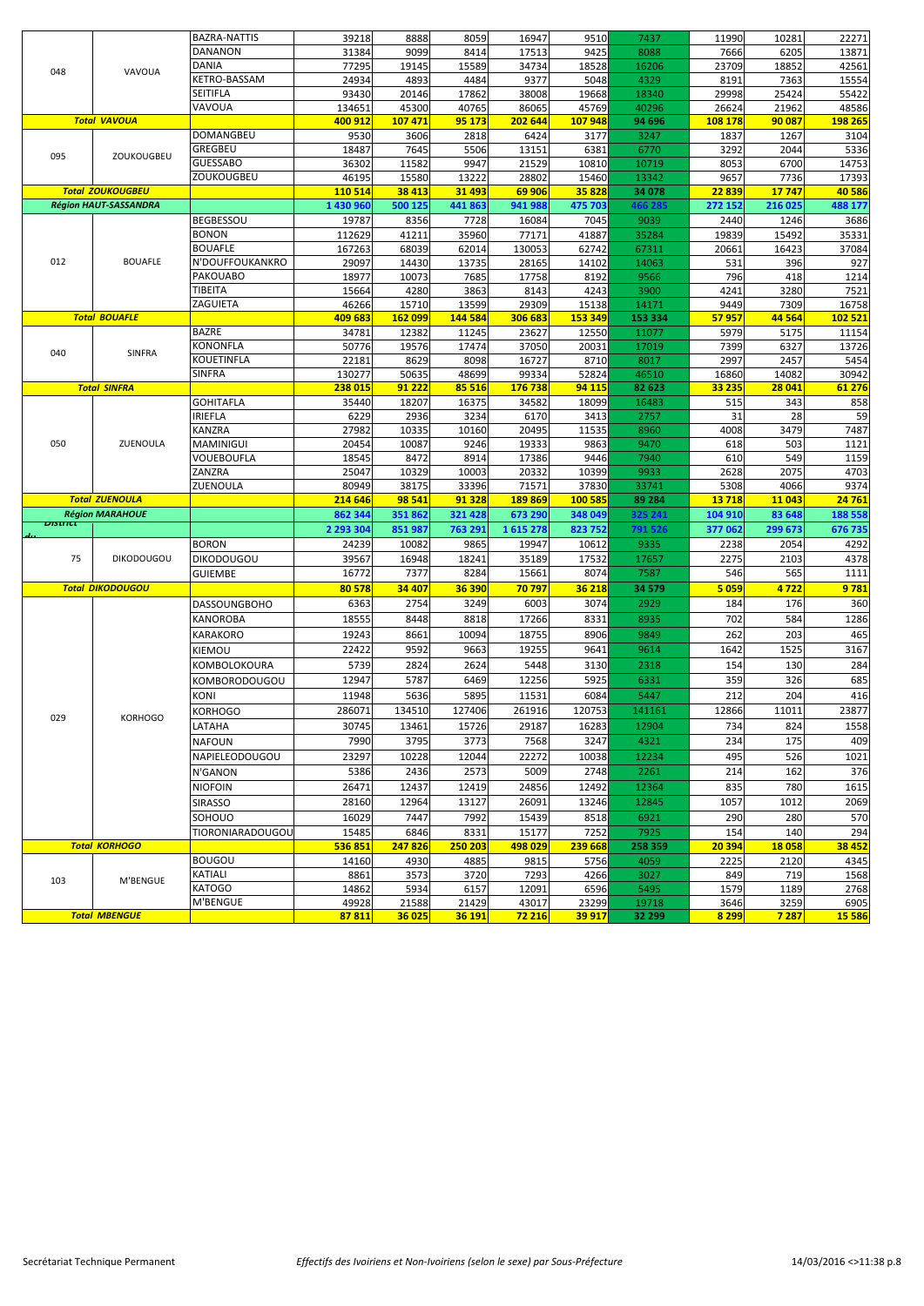|         |                              | BAZRA-NATTIS       | 39218          | 8888            | 8059            | 16947           | 9510            | 7437            | 11990         | 10281          | 22271           |
|---------|------------------------------|--------------------|----------------|-----------------|-----------------|-----------------|-----------------|-----------------|---------------|----------------|-----------------|
|         |                              | DANANON            | 31384          | 9099            | 8414            | 17513           | 9425            | 8088            | 7666          | 6205           | 13871           |
|         |                              | DANIA              | 77295          | 19145           | 15589           | 34734           | 18528           | 16206           | 23709         | 18852          | 42561           |
| 048     | VAVOUA                       | KETRO-BASSAM       | 24934          | 4893            | 4484            | 9377            | 5048            | 4329            | 8191          | 7363           | 15554           |
|         |                              | SEITIFLA           | 93430          | 20146           | 17862           | 38008           | 19668           | 18340           | 29998         | 25424          | 55422           |
|         |                              | VAVOUA             | 134651         | 45300           | 40765           | 86065           | 45769           | 40296           | 26624         | 21962          | 48586           |
|         | <b>Total VAVOUA</b>          |                    | 400 912        | 107 471         | 95 173          | 202 644         | 107948          | 94 696          | 108 178       | 90 087         | 198 265         |
|         |                              | DOMANGBEU          | 9530           | 3606            | 2818            | 6424            | 3177            | 3247            | 1837          | 1267           | 3104            |
|         |                              | GREGBEU            | 18487          | 7645            | 5506            | 13151           | 6381            | 6770            | 3292          | 2044           | 5336            |
| 095     | ZOUKOUGBEU                   | <b>GUESSABO</b>    | 36302          | 11582           | 9947            | 21529           | 10810           | 10719           | 8053          | 6700           | 14753           |
|         |                              | ZOUKOUGBEU         |                |                 |                 |                 |                 |                 |               |                |                 |
|         | <b>Total ZOUKOUGBEU</b>      |                    | 46195          | 15580<br>38 413 | 13222<br>31 493 | 28802<br>69 906 | 15460<br>35 828 | 13342<br>34 078 | 9657<br>22839 | 7736<br>17 747 | 17393<br>40 586 |
|         |                              |                    | 110 514        |                 |                 |                 |                 |                 |               |                |                 |
|         | <b>Région HAUT-SASSANDRA</b> |                    | 1 430 960      | 500 125         | 441 863         | 941 988         | 475 703         | 466 285         | 272 152       | 216 025        | 488 177         |
|         |                              | BEGBESSOU          | 19787          | 8356            | 7728            | 16084           | 7045            | 9039            | 2440          | 1246           | 3686            |
|         |                              | <b>BONON</b>       | 112629         | 41211           | 35960           | 77171           | 41887           | 35284           | 19839         | 15492          | 35331           |
|         |                              | <b>BOUAFLE</b>     | 167263         | 68039           | 62014           | 130053          | 62742           | 67311           | 20661         | 16423          | 37084           |
| 012     | <b>BOUAFLE</b>               | N'DOUFFOUKANKRO    | 29097          | 14430           | 13735           | 28165           | 14102           | 14063           | 531           | 396            | 927             |
|         |                              | PAKOUABO           | 18977          | 10073           | 7685            | 17758           | 8192            | 9566            | 796           | 418            | 1214            |
|         |                              | TIBEITA            | 15664          | 4280            | 3863            | 8143            | 4243            | 3900            | 4241          | 3280           | 7521            |
|         |                              | ZAGUIETA           | 46266          | 15710           | 13599           | 29309           | 15138           | 14171           | 9449          | 7309           | 16758           |
|         | <b>Total BOUAFLE</b>         |                    | 409 683        | <b>162 099</b>  | 144 584         | 306 683         | 153 349         | 153 334         | 57957         | 44 564         | 102 521         |
|         |                              | <b>BAZRE</b>       | 34781          | 12382           | 11245           | 23627           | 12550           | 11077           | 5979          | 5175           | 11154           |
|         |                              | KONONFLA           | 50776          | 19576           | 17474           | 37050           | 20031           | 17019           | 7399          | 6327           | 13726           |
| 040     | SINFRA                       | KOUETINFLA         | 22181          | 8629            | 8098            | 16727           | 8710            | 8017            | 2997          | 2457           | 5454            |
|         |                              | SINFRA             | 130277         | 50635           | 48699           | 99334           | 52824           | 46510           | 16860         | 14082          | 30942           |
|         | <b>Total SINFRA</b>          |                    | 238 015        | 91 222          | 85 516          | 176 738         | 94 115          | 82 623          | 33 235        | 28 041         | 61 276          |
|         |                              | <b>GOHITAFLA</b>   | 35440          | 18207           | 16375           | 34582           | 18099           | 16483           | 515           | 343            | 858             |
|         |                              | <b>IRIEFLA</b>     | 6229           | 2936            | 3234            | 6170            | 3413            | 2757            | 31            | 28             | 59              |
|         |                              | KANZRA             | 27982          | 10335           | 10160           | 20495           | 11535           | 8960            | 4008          | 3479           | 7487            |
| 050     | ZUENOULA                     | MAMINIGUI          | 20454          | 10087           | 9246            | 19333           | 9863            | 9470            | 618           | 503            | 1121            |
|         |                              | VOUEBOUFLA         | 18545          | 8472            | 8914            | 17386           | 9446            | 7940            | 610           | 549            | 1159            |
|         |                              | ZANZRA             | 25047          | 10329           | 10003           | 20332           | 10399           | 9933            | 2628          | 2075           | 4703            |
|         |                              | ZUENOULA           | 80949          | 38175           | 33396           | 71571           | 37830           | 33741           | 5308          | 4066           | 9374            |
|         | <b>Total ZUENOULA</b>        |                    | 214 646        | 98 541          | 91 328          | 189869          | 100 585         | 89 284          | 13718         | 11 043         | 24 761          |
|         | <b>Région MARAHOUE</b>       |                    | 862 34         | 351862          | 321 428         | 673 290         | 348 049         | 325 241         | 104 910       | 83 648         | 188 558         |
| ण्डसारा |                              |                    |                |                 |                 |                 |                 |                 |               |                |                 |
|         |                              |                    | 2 293 304      | 851987          | 763 291         | 1615278         | 823752          | 791 526         | 377 062       | 299 673        | 676 735         |
|         |                              | <b>BORON</b>       | 24239          | 10082           | 9865            |                 | 10612           | 9335            |               |                | 4292            |
| 75      | <b>DIKODOUGOU</b>            |                    |                |                 |                 | 19947           |                 |                 | 2238          | 2054           |                 |
|         |                              | <b>DIKODOUGOU</b>  | 39567          | 16948           | 18241           | 35189           | 17532           | 17657           | 2275          | 2103           | 4378            |
|         |                              | <b>GUIEMBE</b>     | 16772          | 7377            | 8284            | 15661           | 8074            | 7587            | 546           | 565            | 1111            |
|         | <b>Total DIKODOUGOU</b>      |                    | 80578          | 34 407          | 36 390          | 70797           | 36 218          | 34 579          | 5 0 5 9       | 4722           | 9781            |
|         |                              | DASSOUNGBOHO       | 6363           | 2754            | 3249            | 6003            | 3074            | 2929            | 184           | 176            | 360             |
|         |                              |                    | 18555          | 8448            | 8818            | 17266           | 8331            | 8935            | 702           | 584            | 1286            |
|         |                              | KANOROBA           |                |                 |                 |                 |                 |                 |               |                |                 |
|         |                              | KARAKORO           | 19243          | 8661            | 10094           | 18755           | 8906            | 9849            | 262           | 203            | 465             |
|         |                              | KIEMOU             | 22422          | 9592            | 9663            | 19255           | 9641            | 9614            | 1642          | 1525           | 3167            |
|         |                              | KOMBOLOKOURA       | 5739           | 2824            | 2624            | 5448            | 3130            | 2318            | 154           | 130            | 284             |
|         |                              | KOMBORODOUGOU      | 12947          | 5787            | 6469            | 12256           | 5925            | 6331            | 359           | 326            | 685             |
|         |                              | KONI               | 11948          | 5636            | 5895            | 11531           | 6084            | 5447            | 212           | 204            | 416             |
|         |                              | KORHOGO            | 286071         | 134510          | 127406          | 261916          | 120753          | 141161          | 12866         | 11011          | 23877           |
| 029     | <b>KORHOGO</b>               |                    | 30745          | 13461           | 15726           | 29187           | 16283           | 12904           | 734           | 824            | 1558            |
|         |                              | LATAHA             |                |                 |                 |                 |                 |                 |               |                |                 |
|         |                              | <b>NAFOUN</b>      | 7990           | 3795            | 3773            | 7568            | 3247            | 4321            | 234           | 175            | 409             |
|         |                              | NAPIELEODOUGOU     | 23297          | 10228           | 12044           | 22272           | 10038           | 12234           | 495           | 526            | 1021            |
|         |                              | N'GANON            | 5386           | 2436            | 2573            | 5009            | 2748            | 2261            | 214           | 162            | 376             |
|         |                              | <b>NIOFOIN</b>     | 26471          | 12437           | 12419           | 24856           | 12492           | 12364           | 835           | 780            | 1615            |
|         |                              | <b>SIRASSO</b>     | 28160          | 12964           | 13127           | 26091           | 13246           | 12845           | 1057          | 1012           | 2069            |
|         |                              | SOHOUO             | 16029          | 7447            | 7992            | 15439           | 8518            | 6921            | 290           | 280            | 570             |
|         |                              | TIORONIARADOUGOU   | 15485          | 6846            | 8331            | 15177           | 7252            | 7925            | 154           | 140            | 294             |
|         | <b>Total KORHOGO</b>         |                    | 536851         | 247826          | 250 203         | 498 029         | 239 668         | 258 359         | 20 394        | 18058          | 38 452          |
|         |                              | <b>BOUGOU</b>      | 14160          | 4930            | 4885            | 9815            | 5756            | 4059            | 2225          | 2120           | 4345            |
|         |                              |                    |                |                 |                 |                 |                 |                 |               |                |                 |
| 103     | M'BENGUE                     | KATIALI            | 8861           | 3573            | 3720            | 7293            | 4266            | 3027            | 849           | 719            | 1568            |
|         |                              | KATOGO<br>M'BENGUE | 14862<br>49928 | 5934<br>21588   | 6157<br>21429   | 12091<br>43017  | 6596<br>23299   | 5495<br>19718   | 1579<br>3646  | 1189<br>3259   | 2768<br>6905    |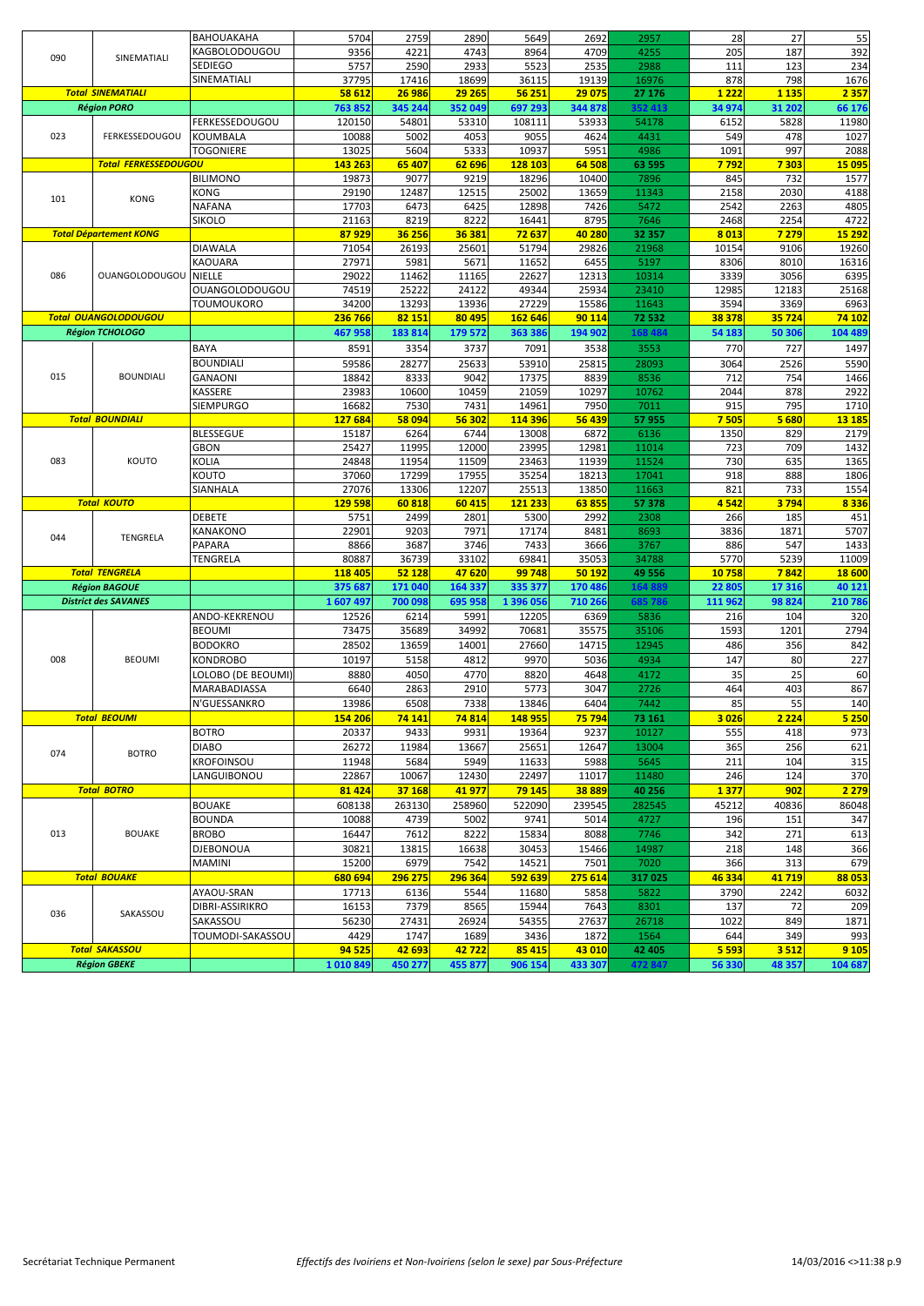|     |                                              | <b>BAHOUAKAHA</b>     | 5704               | 2759              | 2890             | 5649              | 2692              | 2957             | 28                | 27                  | 55                 |
|-----|----------------------------------------------|-----------------------|--------------------|-------------------|------------------|-------------------|-------------------|------------------|-------------------|---------------------|--------------------|
|     |                                              | KAGBOLODOUGOU         | 9356               | 4221              | 4743             | 8964              | 4709              | 4255             | 205               | 187                 | 392                |
| 090 | SINEMATIALI                                  | <b>SEDIEGO</b>        | 5757               | 2590              | 2933             | 5523              | 2535              | 2988             | 111               | 123                 | 234                |
|     |                                              | SINEMATIALI           | 37795              | 17416             | 18699            | 36115             | 19139             | 16976            | 878               | 798                 | 1676               |
|     | <b>Total SINEMATIALI</b>                     |                       | 58 612             | 26 986            | 29 265           | 56 251            | 29 075            | 27 176           | 1 2 2 2           | 1 1 3 5             | 2 3 5 7            |
|     | <b>Région PORO</b>                           |                       | 763 852            | 345 244           | 352 049          | 697 293           | 344 878           | 352 413          | 34 974            | 31 202              | 66 176             |
|     |                                              | <b>FERKESSEDOUGOU</b> | 120150             | 54801             | 53310            | 108111            | 53933             | 54178            | 6152              | 5828                | 11980              |
|     |                                              |                       |                    |                   |                  |                   |                   |                  |                   |                     |                    |
| 023 | FERKESSEDOUGOU                               | KOUMBALA              | 10088              | 5002              | 4053             | 9055              | 4624              | 4431             | 549               | 478                 | 1027               |
|     |                                              | <b>TOGONIERE</b>      | 13025              | 5604              | 5333             | 10937             | 5951              | 4986             | 1091              | 997                 | 2088               |
|     | <b>Total FERKESSEDOUGOU</b>                  |                       | 143 263            | 65 407            | 62 696           | 128 103           | 64 508            | 63 595           | 7 7 9 2           | 7 3 0 3             | 15 095             |
|     |                                              | <b>BILIMONO</b>       | 19873              | 9077              | 9219             | 18296             | 10400             | 7896             | 845               | 732                 | 1577               |
| 101 | <b>KONG</b>                                  | KONG                  | 29190              | 12487             | 12515            | 25002             | 13659             | 11343            | 2158              | 2030                | 4188               |
|     |                                              | <b>NAFANA</b>         | 17703              | 6473              | 6425             | 12898             | 7426              | 5472             | 2542              | 2263                | 4805               |
|     |                                              | <b>SIKOLO</b>         | 21163              | 8219              | 8222             | 16441             | 8795              | 7646             | 2468              | 2254                | 4722               |
|     | <b>Total Département KONG</b>                |                       | 87929              | 36 256            | 36 381           | 72 637            | 40 280            | 32 357           | 8 0 1 3           | 7 2 7 9             | 15 292             |
|     |                                              | <b>DIAWALA</b>        | 71054              | 26193             | 25601            | 51794             | 29826             | 21968            | 10154             | 9106                | 19260              |
|     |                                              | KAOUARA               | 27971              | 5981              | 5671             | 11652             | 6455              | 5197             | 8306              | 8010                | 16316              |
| 086 | <b>OUANGOLODOUGOU</b>                        | <b>NIELLE</b>         | 29022              | 11462             | 11165            | 22627             | 12313             | 10314            | 3339              | 3056                | 6395               |
|     |                                              | <b>OUANGOLODOUGOU</b> | 74519              | 25222             | 24122            | 49344             | 25934             | 23410            | 12985             | 12183               | 25168              |
|     |                                              | <b>TOUMOUKORO</b>     | 34200              | 13293             | 13936            | 27229             | 15586             | 11643            | 3594              | 3369                | 6963               |
|     | <b>Total OUANGOLODOUGOU</b>                  |                       | 236 766            | 82 151            | 80 495           | 162 646           | 90 114            | 72 532           | 38 378            | 35 7 24             | 74 102             |
|     | <b>Région TCHOLOGO</b>                       |                       | 467 958            | 183 814           | 179 572          | 363 386           | 194 902           | 168 484          | 54 183            | 50 306              | 104 489            |
|     |                                              |                       |                    |                   |                  |                   |                   |                  |                   |                     |                    |
|     |                                              | BAYA                  | 8591               | 3354              | 3737             | 7091              | 3538              | 3553             | 770               | 727                 | 1497               |
|     |                                              | <b>BOUNDIALI</b>      | 59586              | 28277             | 25633            | 53910             | 25815             | 28093            | 3064              | 2526                | 5590               |
| 015 | <b>BOUNDIALI</b>                             | <b>GANAONI</b>        | 18842              | 8333              | 9042             | 17375             | 8839              | 8536             | 712               | 754                 | 1466               |
|     |                                              | KASSERE               | 23983              | 10600             | 10459            | 21059             | 10297             | 10762            | 2044              | 878                 | 2922               |
|     |                                              | SIEMPURGO             | 16682              | 7530              | 7431             | 14961             | 7950              | 7011             | 915               | 795                 | 1710               |
|     | <b>Total BOUNDIALI</b>                       |                       | 127 684            | 58 094            | 56 302           | 114 396           | 56 439            | 57 955           | 7505              | 5680                | <b>13 185</b>      |
|     |                                              | <b>BLESSEGUE</b>      | 15187              | 6264              | 6744             | 13008             | 6872              | 6136             | 1350              | 829                 | 2179               |
|     |                                              | <b>GBON</b>           | 25427              | 11995             | 12000            | 23995             | 12981             | 11014            | 723               | 709                 | 1432               |
| 083 | KOUTO                                        | <b>KOLIA</b>          | 24848              | 11954             | 11509            | 23463             | 11939             | 11524            | 730               | 635                 | 1365               |
|     |                                              | KOUTO                 | 37060              | 17299             | 17955            | 35254             | 18213             | 17041            | 918               | 888                 | 1806               |
|     |                                              | SIANHALA              |                    |                   |                  |                   |                   |                  |                   |                     |                    |
|     |                                              |                       | 27076              | 13306             | 12207            | 25513             | 13850             | 11663            | 821               | 733                 | 1554               |
|     | <b>Total KOUTO</b>                           |                       | 129 598            | 60818             | 60 415           | 121 233           | 63855             | 57 378           | 4542              | 3794                | 8336               |
|     |                                              |                       |                    |                   |                  |                   |                   |                  |                   |                     |                    |
|     |                                              | <b>DEBETE</b>         | 5751               | 2499              | 2801             | 5300              | 2992              | 2308             | 266               | 185                 | 451                |
| 044 |                                              | KANAKONO              | 22901              | 9203              | 7971             | 17174             | 8481              | 8693             | 3836              | 1871                | 5707               |
|     | TENGRELA                                     | PAPARA                | 8866               | 3687              | 3746             | 7433              | 3666              | 3767             | 886               | 547                 | 1433               |
|     |                                              | TENGRELA              | 80887              | 36739             | 33102            | 69841             | 35053             | 34788            | 5770              | 5239                | 11009              |
|     | <b>Total TENGRELA</b>                        |                       | 118 405            | 52 128            | 47620            | 99 748            | 50 192            | 49 5 56          | 10758             | 7842                | 18 600             |
|     | <b>Région BAGOUE</b>                         |                       | 375 687            | 171 040           | 164 337          | 335 377           | 170 486           | 164889           | 22 805            | 17316               | 40 121             |
|     | <b>District des SAVANES</b>                  |                       | 1 607 49           | 700 09            | 695 958          | 1 396 056         | 710 26            | 585 78           | 111 962           | 98 824              | 210 786            |
|     |                                              |                       |                    |                   |                  |                   |                   |                  |                   |                     |                    |
|     |                                              | ANDO-KEKRENOU         | 12526              | 6214              | 5991             | 12205             | 6369              | 5836             | 216               | 104                 | 320                |
|     |                                              | <b>BEOUMI</b>         | 73475              | 35689             | 34992            | 70681             | 35575             | 35106            | 1593              | 1201                | 2794               |
|     |                                              | <b>BODOKRO</b>        | 28502              | 13659             | 14001            | 27660             | 14715             | 12945            | 486               | 356                 | 842                |
| 008 | <b>BEOUMI</b>                                | KONDROBO              | 10197              | 5158              | 4812             | 9970              | 5036              | 4934             | 147               | 80                  | 227                |
|     |                                              | LOLOBO (DE BEOUMI)    | 8880               | 4050              | 4770             | 8820              | 4648              | 4172             | 35                | 25                  | 60                 |
|     |                                              | MARABADIASSA          | 6640               | 2863              | 2910             | 5773              | 3047              | 2726             | 464               | 403                 | 867                |
|     |                                              | N'GUESSANKRO          | 13986              | 6508              | 7338             | 13846             | 6404              | 7442             | 85                | 55                  | 140                |
|     | <b>Total BEOUMI</b>                          |                       | 154 206            | 74 141            | 74 814           | 148 955           | 75 794            | 73 161           | 3 0 26            | 2 2 2 4             | 5 2 5 0            |
|     |                                              | <b>BOTRO</b>          | 20337              | 9433              | 9931             | 19364             | 9237              | 10127            | 555               | 418                 | 973                |
|     |                                              | <b>DIABO</b>          | 26272              | 11984             | 13667            | 25651             | 12647             | 13004            | 365               | 256                 | 621                |
| 074 | <b>BOTRO</b>                                 |                       |                    |                   |                  |                   |                   |                  |                   |                     |                    |
|     |                                              | <b>KROFOINSOU</b>     | 11948              | 5684              | 5949             | 11633             | 5988              | 5645             | 211               | 104                 | 315                |
|     |                                              | LANGUIBONOU           | 22867              | 10067             | 12430            | 22497             | 11017             | 11480            | 246               | 124                 | 370                |
|     | <b>Total BOTRO</b>                           |                       | 81 4 24            | 37 168            | 41 977           | 79 145            | 38889             | 40 25 6          | 1377              | 902                 | 2 2 7 9            |
|     |                                              | <b>BOUAKE</b>         | 608138             | 263130            | 258960           | 522090            | 239545            | 282545           | 45212             | 40836               | 86048              |
|     |                                              | <b>BOUNDA</b>         | 10088              | 4739              | 5002             | 9741              | 5014              | 4727             | 196               | 151                 | 347                |
| 013 | <b>BOUAKE</b>                                | <b>BROBO</b>          | 16447              | 7612              | 8222             | 15834             | 8088              | 7746             | 342               | 271                 | 613                |
|     |                                              | <b>DJEBONOUA</b>      | 30821              | 13815             | 16638            | 30453             | 15466             | 14987            | 218               | 148                 | 366                |
|     |                                              | <b>MAMINI</b>         | 15200              | 6979              | 7542             | 14521             | 7501              | 7020             | 366               | 313                 | 679                |
|     | <b>Total BOUAKE</b>                          |                       |                    | 296 275           |                  | 592 639           | 275 614           |                  | 46 334            | 41 719              | 88 053             |
|     |                                              |                       | 680 694            |                   | 296 364          |                   |                   | 317 025          |                   |                     |                    |
|     |                                              | AYAOU-SRAN            | 17713              | 6136              | 5544             | 11680             | 5858              | 5822             | 3790              | 2242                | 6032               |
| 036 | SAKASSOU                                     | DIBRI-ASSIRIKRO       | 16153              | 7379              | 8565             | 15944             | 7643              | 8301             | 137               | 72                  | 209                |
|     |                                              | SAKASSOU              | 56230              | 27431             | 26924            | 54355             | 27637             | 26718            | 1022              | 849                 | 1871               |
|     |                                              | TOUMODI-SAKASSOU      | 4429               | 1747              | 1689             | 3436              | 1872              | 1564             | 644               | 349                 | 993                |
|     | <b>Total SAKASSOU</b><br><b>Région GBEKE</b> |                       | 94 5 25<br>1010849 | 42 693<br>450 277 | 42722<br>455 877 | 85 415<br>906 154 | 43 010<br>433 307 | 42 405<br>472847 | 5 5 9 3<br>56 330 | 3 5 1 2<br>48 3 5 7 | 9 1 0 5<br>104 687 |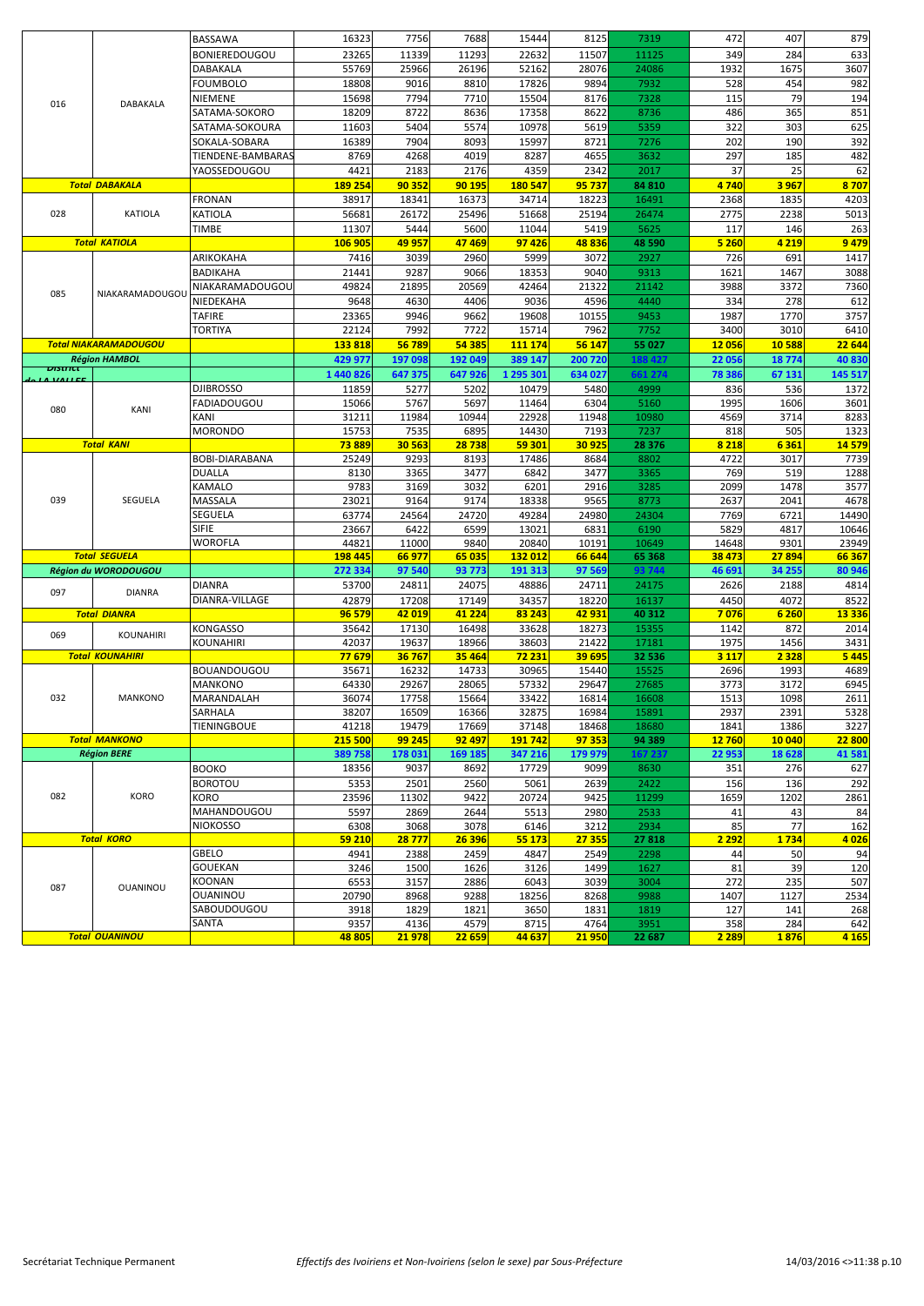|         |                              | BASSAWA               | 16323     | 7756    | 7688     | 15444     | 8125    | 7319    | 472     | 407     | 879     |
|---------|------------------------------|-----------------------|-----------|---------|----------|-----------|---------|---------|---------|---------|---------|
|         |                              | <b>BONIEREDOUGOU</b>  | 23265     | 11339   | 11293    | 22632     | 11507   | 11125   | 349     | 284     | 633     |
|         |                              | DABAKALA              | 55769     | 25966   | 26196    | 52162     | 28076   | 24086   | 1932    | 1675    | 3607    |
|         |                              |                       |           |         |          |           |         |         |         |         |         |
|         |                              | <b>FOUMBOLO</b>       | 18808     | 9016    | 8810     | 17826     | 9894    | 7932    | 528     | 454     | 982     |
| 016     | <b>DABAKALA</b>              | NIEMENE               | 15698     | 7794    | 7710     | 15504     | 8176    | 7328    | 115     | 79      | 194     |
|         |                              | SATAMA-SOKORO         | 18209     | 8722    | 8636     | 17358     | 8622    | 8736    | 486     | 365     | 851     |
|         |                              | SATAMA-SOKOURA        | 11603     | 5404    | 5574     | 10978     | 5619    | 5359    | 322     | 303     | 625     |
|         |                              | SOKALA-SOBARA         | 16389     | 7904    | 8093     | 15997     | 8721    | 7276    | 202     | 190     | 392     |
|         |                              | TIENDENE-BAMBARAS     | 8769      | 4268    | 4019     | 8287      | 4655    | 3632    | 297     | 185     | 482     |
|         |                              | YAOSSEDOUGOU          | 4421      | 2183    | 2176     | 4359      | 2342    | 2017    | 37      | 25      | 62      |
|         | <b>Total DABAKALA</b>        |                       | 189 254   | 90 352  | 90 195   | 180 547   | 95 737  | 84 810  | 4740    |         | 8707    |
|         |                              |                       |           |         |          |           |         |         |         | 3967    |         |
|         |                              | <b>FRONAN</b>         | 38917     | 18341   | 16373    | 34714     | 18223   | 16491   | 2368    | 1835    | 4203    |
| 028     | <b>KATIOLA</b>               | <b>KATIOLA</b>        | 56681     | 26172   | 25496    | 51668     | 25194   | 26474   | 2775    | 2238    | 5013    |
|         |                              | <b>TIMBE</b>          | 11307     | 5444    | 5600     | 11044     | 5419    | 5625    | 117     | 146     | 263     |
|         | <b>Total KATIOLA</b>         |                       | 106 905   | 49 957  | 47469    | 97426     | 48836   | 48 590  | 5 260   | 4 2 1 9 | 9479    |
|         |                              | ARIKOKAHA             | 7416      | 3039    | 2960     | 5999      | 3072    | 2927    | 726     | 691     | 1417    |
|         |                              | <b>BADIKAHA</b>       | 21441     | 9287    | 9066     | 18353     | 9040    | 9313    | 1621    | 1467    | 3088    |
|         |                              | NIAKARAMADOUGOU       | 49824     | 21895   | 20569    | 42464     | 21322   | 21142   | 3988    | 3372    | 7360    |
| 085     | NIAKARAMADOUGOU              |                       |           |         |          |           |         |         |         |         |         |
|         |                              | NIEDEKAHA             | 9648      | 4630    | 4406     | 9036      | 4596    | 4440    | 334     | 278     | 612     |
|         |                              | <b>TAFIRE</b>         | 23365     | 9946    | 9662     | 19608     | 10155   | 9453    | 1987    | 1770    | 3757    |
|         |                              | <b>TORTIYA</b>        | 22124     | 7992    | 7722     | 15714     | 7962    | 7752    | 3400    | 3010    | 6410    |
|         | <b>Total NIAKARAMADOUGOU</b> |                       | 133818    | 56789   | 54 385   | 111 174   | 56 147  | 55 027  | 12 056  | 10588   | 22 644  |
|         | <b>Région HAMBOL</b>         |                       | 429 977   | 197 098 | 192 049  | 389 147   | 200 720 | 188427  | 22 056  | 18774   | 40830   |
| ण्डसारस |                              |                       | 1 440 826 | 647 375 | 647 926  | 1 295 301 | 634 027 | 661 274 | 78 386  | 67 131  | 145 517 |
|         |                              | <b>DJIBROSSO</b>      | 11859     | 5277    | 5202     | 10479     | 5480    | 4999    | 836     | 536     | 1372    |
|         |                              |                       |           |         |          |           |         |         |         |         |         |
| 080     | KANI                         | <b>FADIADOUGOU</b>    | 15066     | 5767    | 5697     | 11464     | 6304    | 5160    | 1995    | 1606    | 3601    |
|         |                              | KANI                  | 31211     | 11984   | 10944    | 22928     | 11948   | 10980   | 4569    | 3714    | 8283    |
|         |                              | <b>MORONDO</b>        | 15753     | 7535    | 6895     | 14430     | 7193    | 7237    | 818     | 505     | 1323    |
|         | <b>Total KANI</b>            |                       | 73889     | 30 563  | 28738    | 59 301    | 30 925  | 28 376  | 8 2 1 8 | 6 3 6 1 | 14579   |
|         |                              | <b>BOBI-DIARABANA</b> | 25249     | 9293    | 8193     | 17486     | 8684    | 8802    | 4722    | 3017    | 7739    |
|         |                              | <b>DUALLA</b>         | 8130      | 3365    | 3477     | 6842      | 3477    | 3365    | 769     | 519     | 1288    |
|         |                              | KAMALO                | 9783      | 3169    | 3032     | 6201      | 2916    | 3285    | 2099    | 1478    | 3577    |
| 039     | SEGUELA                      | MASSALA               | 23021     | 9164    | 9174     | 18338     | 9565    | 8773    | 2637    | 2041    | 4678    |
|         |                              | SEGUELA               | 63774     | 24564   | 24720    | 49284     | 24980   | 24304   | 7769    | 6721    | 14490   |
|         |                              |                       |           |         |          |           |         |         |         |         |         |
|         |                              | SIFIE                 | 23667     | 6422    | 6599     | 13021     | 6831    | 6190    | 5829    | 4817    | 10646   |
|         |                              | <b>WOROFLA</b>        | 44821     | 11000   | 9840     | 20840     | 10191   | 10649   | 14648   | 9301    | 23949   |
|         | <b>Total SEGUELA</b>         |                       | 198 445   | 66 977  | 65 035   | 132 012   | 66 644  | 65 368  | 38 473  |         | 66 367  |
|         | Région du WORODOUGOU         |                       |           |         |          |           |         |         |         | 27894   |         |
|         |                              |                       | 272 334   | 97 540  | 93 773   | 191 313   | 97 569  | 93 744  | 46 691  | 34 255  | 80 946  |
| 097     |                              | <b>DIANRA</b>         | 53700     | 24811   | 24075    | 48886     | 24711   | 24175   | 2626    | 2188    | 4814    |
|         | <b>DIANRA</b>                |                       |           |         |          |           |         |         |         |         |         |
|         |                              | DIANRA-VILLAGE        | 42879     | 17208   | 17149    | 34357     | 18220   | 16137   | 4450    | 4072    | 8522    |
|         | <b>Total DIANRA</b>          |                       | 96 579    | 42 019  | 41 2 2 4 | 83 243    | 42 931  | 40 312  | 7076    | 6 2 6 0 | 13 3 36 |
| 069     | KOUNAHIRI                    | <b>KONGASSO</b>       | 35642     | 17130   | 16498    | 33628     | 18273   | 15355   | 1142    | 872     | 2014    |
|         |                              | KOUNAHIRI             | 42037     | 19637   | 18966    | 38603     | 21422   | 17181   | 1975    | 1456    | 3431    |
|         | <b>Total KOUNAHIRI</b>       |                       | 77679     | 36767   | 35 464   | 72 231    | 39 695  | 32 536  | 3 1 1 7 | 2 3 2 8 | 5 4 4 5 |
|         |                              | BOUANDOUGOU           | 35671     | 16232   | 14733    | 30965     | 15440   | 15525   | 2696    | 1993    | 4689    |
|         |                              | <b>MANKONO</b>        | 64330     | 29267   | 28065    | 57332     | 29647   | 27685   | 3773    | 3172    | 6945    |
| 032     | MANKONO                      | MARANDALAH            | 36074     | 17758   | 15664    | 33422     | 16814   | 16608   | 1513    | 1098    | 2611    |
|         |                              | SARHALA               | 38207     | 16509   | 16366    | 32875     | 16984   | 15891   | 2937    | 2391    | 5328    |
|         |                              |                       |           |         |          |           |         |         |         |         |         |
|         |                              | <b>TIENINGBOUE</b>    | 41218     | 19479   | 17669    | 37148     | 18468   | 18680   | 1841    | 1386    | 3227    |
|         | <b>Total MANKONO</b>         |                       | 215 500   | 99 245  | 92 497   | 191 742   | 97 353  | 94 389  | 12 760  | 10 040  | 22 800  |
|         | <b>Région BERE</b>           |                       | 389 758   | 178 031 | 169 185  | 347 216   | 179 979 | 167 237 | 22 953  | 18628   | 41581   |
|         |                              | <b>BOOKO</b>          | 18356     | 9037    | 8692     | 17729     | 9099    | 8630    | 351     | 276     | 627     |
|         |                              | <b>BOROTOU</b>        | 5353      | 2501    | 2560     | 5061      | 2639    | 2422    | 156     | 136     | 292     |
| 082     | KORO                         | KORO                  | 23596     | 11302   | 9422     | 20724     | 9425    | 11299   | 1659    | 1202    | 2861    |
|         |                              | MAHANDOUGOU           | 5597      | 2869    | 2644     | 5513      | 2980    | 2533    | 41      | 43      | 84      |
|         |                              | <b>NIOKOSSO</b>       | 6308      | 3068    | 3078     | 6146      | 3212    | 2934    | 85      | 77      | 162     |
|         | <b>Total KORO</b>            |                       |           |         |          |           |         |         |         |         |         |
|         |                              |                       | 59 210    | 28777   | 26 396   | 55 173    | 27 355  | 27818   | 2 2 9 2 | 1 7 3 4 | 4026    |
|         |                              | GBELO                 | 4941      | 2388    | 2459     | 4847      | 2549    | 2298    | 44      | 50      | 94      |
|         |                              | GOUEKAN               | 3246      | 1500    | 1626     | 3126      | 1499    | 1627    | 81      | 39      | 120     |
| 087     | OUANINOU                     | <b>KOONAN</b>         | 6553      | 3157    | 2886     | 6043      | 3039    | 3004    | 272     | 235     | 507     |
|         |                              | OUANINOU              | 20790     | 8968    | 9288     | 18256     | 8268    | 9988    | 1407    | 1127    | 2534    |
|         |                              | SABOUDOUGOU           | 3918      | 1829    | 1821     | 3650      | 1831    | 1819    | 127     | 141     | 268     |
|         |                              | SANTA                 | 9357      | 4136    | 4579     | 8715      | 4764    | 3951    | 358     | 284     | 642     |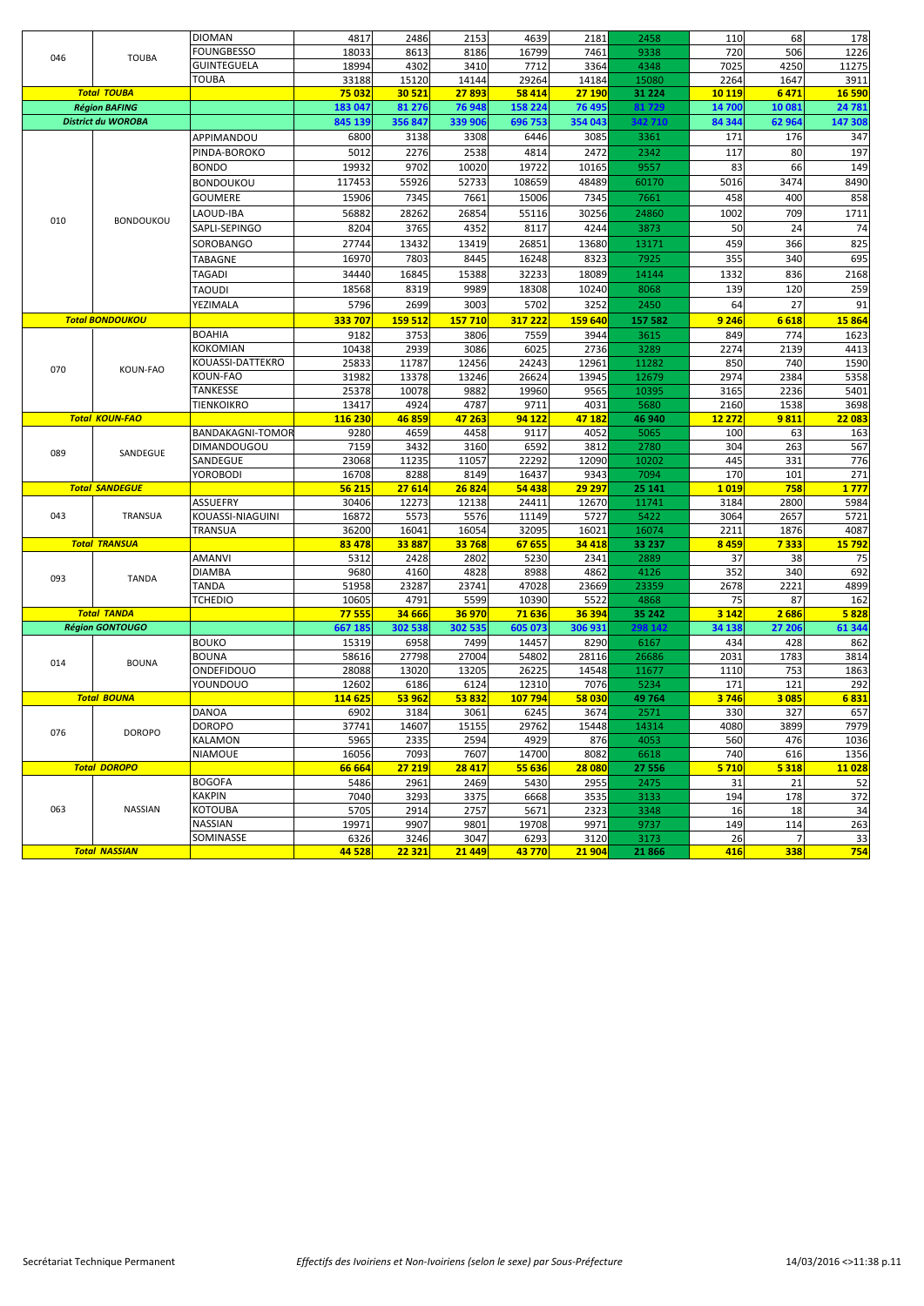|     |                           | <b>DIOMAN</b>           | 4817            | 2486            | 2153           | 4639          | 2181           | 2458           | 110       | 68       | 178          |
|-----|---------------------------|-------------------------|-----------------|-----------------|----------------|---------------|----------------|----------------|-----------|----------|--------------|
|     |                           | FOUNGBESSO              | 18033           | 8613            | 8186           | 16799         | 7461           | 9338           | 720       | 506      | 1226         |
| 046 | <b>TOUBA</b>              | <b>GUINTEGUELA</b>      | 18994           | 4302            | 3410           | 7712          | 3364           | 4348           | 7025      | 4250     | 11275        |
|     |                           | TOUBA                   | 33188           | 15120           | 14144          | 29264         | 14184          | 15080          | 2264      | 1647     | 3911         |
|     | <b>Total TOUBA</b>        |                         | 75 032          | 30 5 21         | 27893          | 58 414        | 27 190         | 31 2 2 4       | 10 119    | 6471     | 16 590       |
|     | <b>Région BAFING</b>      |                         | 183 047         | 81 276          | 76 948         | 158 224       | 76 49          | 81 729         | 14 700    | 10 08:   | 24 781       |
|     | <b>District du WOROBA</b> |                         | 845 139         | 356 847         | 339 906        | 696 753       | 354 043        | 342710         | 84 344    | 62 964   | 147 308      |
|     |                           |                         |                 |                 |                |               |                |                | 171       | 176      |              |
|     |                           | APPIMANDOU              | 6800            | 3138            | 3308           | 6446          | 3085           | 3361           |           |          | 347          |
|     |                           | PINDA-BOROKO            | 5012            | 2276            | 2538           | 4814          | 2472           | 2342           | 117       | 80       | 197          |
|     |                           | <b>BONDO</b>            | 19932           | 9702            | 10020          | 19722         | 10165          | 9557           | 83        | 66       | 149          |
|     |                           | BONDOUKOU               | 117453          | 55926           | 52733          | 108659        | 48489          | 60170          | 5016      | 3474     | 8490         |
|     |                           | <b>GOUMERE</b>          | 15906           | 7345            | 7661           | 15006         | 7345           | 7661           | 458       | 400      | 858          |
|     |                           | LAOUD-IBA               | 56882           | 28262           | 26854          | 55116         | 30256          | 24860          | 1002      | 709      | 1711         |
| 010 | <b>BONDOUKOU</b>          | SAPLI-SEPINGO           | 8204            | 3765            | 4352           | 8117          | 4244           | 3873           | 50        | 24       | 74           |
|     |                           | SOROBANGO               | 27744           | 13432           | 13419          | 26851         | 13680          | 13171          | 459       | 366      | 825          |
|     |                           | TABAGNE                 | 16970           | 7803            | 8445           | 16248         | 8323           | 7925           | 355       | 340      | 695          |
|     |                           |                         |                 |                 |                |               |                |                |           |          |              |
|     |                           | TAGADI                  | 34440           | 16845           | 15388          | 32233         | 18089          | 14144          | 1332      | 836      | 2168         |
|     |                           | <b>TAOUDI</b>           | 18568           | 8319            | 9989           | 18308         | 10240          | 8068           | 139       | 120      | 259          |
|     |                           | <b>YEZIMALA</b>         | 5796            | 2699            | 3003           | 5702          | 3252           | 2450           | 64        | 27       | 91           |
|     | <b>Total BONDOUKOU</b>    |                         | 333 707         | 159 512         | 157 710        | 317 222       | 159 640        | 157 582        | 9 2 46    | 6618     | 15 864       |
|     |                           | <b>BOAHIA</b>           | 9182            | 3753            | 3806           | 7559          | 3944           | 3615           | 849       | 774      | 1623         |
|     |                           | KOKOMIAN                | 10438           | 2939            | 3086           | 6025          | 2736           | 3289           | 2274      | 2139     | 4413         |
|     |                           | KOUASSI-DATTEKRO        | 25833           | 11787           | 12456          | 24243         | 12961          | 11282          | 850       | 740      | 1590         |
| 070 | KOUN-FAO                  | KOUN-FAO                | 31982           | 13378           | 13246          | 26624         | 13945          | 12679          | 2974      | 2384     | 5358         |
|     |                           | TANKESSE                | 25378           | 10078           | 9882           | 19960         | 9565           | 10395          | 3165      | 2236     | 5401         |
|     |                           | TIENKOIKRO              | 13417           | 4924            | 4787           | 9711          | 4031           | 5680           | 2160      | 1538     | 3698         |
|     | <b>Total KOUN-FAO</b>     |                         | 116 230         | 46859           | 47 263         | 94 122        | 47 182         | 46 940         | 12 27 2   | 9811     | 22 083       |
|     |                           | <b>BANDAKAGNI-TOMOR</b> | 9280            | 4659            | 4458           | 9117          | 4052           | 5065           | 100       | 63       | 163          |
|     |                           | DIMANDOUGOU             | 7159            | 3432            | 3160           | 6592          | 3812           | 2780           | 304       | 263      | 567          |
| 089 | SANDEGUE                  | SANDEGUE                | 23068           | 11235           | 11057          | 22292         | 12090          | 10202          | 445       | 331      | 776          |
|     |                           | YOROBODI                | 16708           | 8288            | 8149           | 16437         | 9343           | 7094           | 170       | 101      | 271          |
|     | <b>Total SANDEGUE</b>     |                         | 56 215          | 27 614          | 26 824         | 54 438        | 29 29 7        | 25 14 1        | 1019      | 758      | 1777         |
|     |                           | ASSUEFRY                | 30406           | 12273           | 12138          | 24411         | 12670          | 11741          | 3184      | 2800     | 5984         |
| 043 | TRANSUA                   | KOUASSI-NIAGUINI        | 16872           | 5573            | 5576           | 11149         | 5727           | 5422           | 3064      | 2657     | 5721         |
|     |                           | TRANSUA                 | 36200           | 16041           | 16054          | 32095         | 16021          | 16074          | 2211      | 1876     | 4087         |
|     | <b>Total TRANSUA</b>      |                         | 83 478          | 33887           | 33768          | 67 655        | 34 4 18        | 33 237         | 8 4 5 9   | 7333     | <b>15792</b> |
|     |                           | <b>AMANVI</b>           | 5312            | 2428            | 2802           | 5230          | 2341           | 2889           | 37        | 38       | 75           |
|     |                           | DIAMBA                  | 9680            | 4160            | 4828           | 8988          | 4862           | 4126           | 352       | 340      | 692          |
| 093 | <b>TANDA</b>              | TANDA                   | 51958           | 23287           | 23741          | 47028         |                | 23359          | 2678      | 2221     | 4899         |
|     |                           | <b>TCHEDIO</b>          | 10605           | 4791            | 5599           | 10390         | 23669<br>5522  | 4868           | 75        | 87       | 162          |
|     | <b>Total TANDA</b>        |                         | 77 555          | 34 666          | 36 970         | 71636         | 36 394         | 35 242         | 3 1 4 2   | 2686     | 5828         |
|     | <b>Région GONTOUGO</b>    |                         | 667 18          | 302 538         | 302 535        | 605 07        | 306 931        | 298 142        | 34 138    | 27 206   | 61 344       |
|     |                           | <b>BOUKO</b>            | 15319           |                 |                |               |                |                |           |          |              |
|     |                           |                         |                 | 6958            | 7499           | 14457         | 8290           | 6167           | 434       | 428      | 862          |
| 014 | <b>BOUNA</b>              | <b>BOUNA</b>            | 58616           | 27798           | 27004          | 54802         | 28116          | 26686          | 2031      | 1783     | 3814         |
|     |                           | <b>ONDEFIDOUO</b>       | 28088           | 13020           | 13205          | 26225         | 14548          | 11677          | 1110      | 753      | 1863         |
|     |                           | YOUNDOUO                | 12602           | 6186            | 6124           | 12310         | 7076           | 5234           | 171       | 121      | 292          |
|     | <b>Total BOUNA</b>        |                         | 114 625         | 53 962          | 53832          | 107 794       | 58 030         | 49 764         | 3746      | 3 0 8 5  | 6831         |
|     |                           | DANOA                   | 6902            | 3184            | 3061           | 6245          | 3674           | 2571           | 330       | 327      | 657          |
| 076 | <b>DOROPO</b>             | <b>DOROPO</b>           | 37741           | 14607           | 15155          | 29762         | 15448          | 14314          | 4080      | 3899     | 7979         |
|     |                           | KALAMON                 | 5965            | 2335            | 2594           | 4929          | 876            | 4053           | 560       | 476      | 1036         |
|     |                           | <b>NIAMOUE</b>          | 16056           | 7093            | 7607           | 14700         | 8082           | 6618           | 740       | 616      | 1356         |
|     | <b>Total DOROPO</b>       |                         | 66 664          | 27 219          | 28 417         | 55 636        | 28 080         | 27 556         | 5 7 10    | 5 3 1 8  | 11 028       |
|     |                           | <b>BOGOFA</b>           | 5486            | 2961            | 2469           | 5430          | 2955           | 2475           | 31        | 21       | 52           |
|     |                           | <b>KAKPIN</b>           | 7040            | 3293            | 3375           | 6668          | 3535           | 3133           | 194       | 178      | 372          |
|     |                           | KOTOUBA                 | 5705            | 2914            | 2757           | 5671          | 2323           | 3348           | 16        | 18       | 34           |
| 063 | <b>NASSIAN</b>            |                         |                 |                 |                |               |                |                |           |          |              |
|     |                           | NASSIAN                 | 19971           | 9907            | 9801           | 19708         | 9971           | 9737           | 149       | 114      | 263          |
|     | <b>Total NASSIAN</b>      | SOMINASSE               | 6326<br>44 5 28 | 3246<br>22 3 21 | 3047<br>21 449 | 6293<br>43770 | 3120<br>21 904 | 3173<br>21 866 | 26<br>416 | 7<br>338 | 33<br>754    |